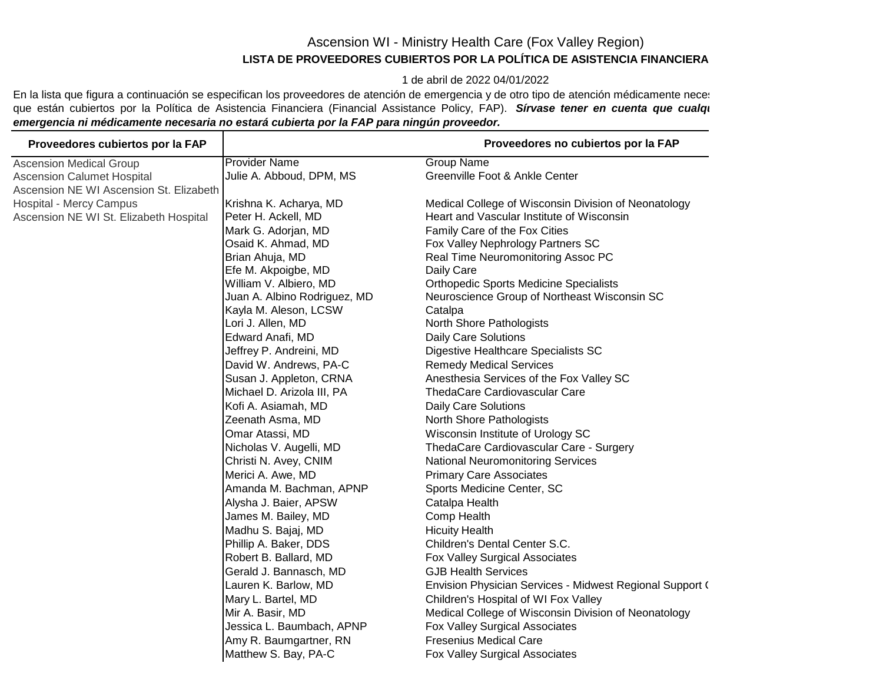## Ascension WI - Ministry Health Care (Fox Valley Region) **LISTA DE PROVEEDORES CUBIERTOS POR LA POLÍTICA DE ASISTENCIA FINANCIERA**

1 de abril de 2022 04/01/2022

En la lista que figura a continuación se especifican los proveedores de atención de emergencia y de otro tipo de atención médicamente neces que están cubiertos por la Política de Asistencia Financiera (Financial Assistance Policy, FAP). Sírvase tener en cuenta que cualqu *emergencia ni médicamente necesaria no estará cubierta por la FAP para ningún proveedor.*

| Proveedores cubiertos por la FAP        |                              | Proveedores no cubiertos por la FAP                      |
|-----------------------------------------|------------------------------|----------------------------------------------------------|
| <b>Ascension Medical Group</b>          | <b>Provider Name</b>         | <b>Group Name</b>                                        |
| <b>Ascension Calumet Hospital</b>       | Julie A. Abboud, DPM, MS     | Greenville Foot & Ankle Center                           |
| Ascension NE WI Ascension St. Elizabeth |                              |                                                          |
| <b>Hospital - Mercy Campus</b>          | Krishna K. Acharya, MD       | Medical College of Wisconsin Division of Neonatology     |
| Ascension NE WI St. Elizabeth Hospital  | Peter H. Ackell, MD          | Heart and Vascular Institute of Wisconsin                |
|                                         | Mark G. Adorjan, MD          | Family Care of the Fox Cities                            |
|                                         | Osaid K. Ahmad, MD           | Fox Valley Nephrology Partners SC                        |
|                                         | Brian Ahuja, MD              | Real Time Neuromonitoring Assoc PC                       |
|                                         | Efe M. Akpoigbe, MD          | Daily Care                                               |
|                                         | William V. Albiero, MD       | <b>Orthopedic Sports Medicine Specialists</b>            |
|                                         | Juan A. Albino Rodriguez, MD | Neuroscience Group of Northeast Wisconsin SC             |
|                                         | Kayla M. Aleson, LCSW        | Catalpa                                                  |
|                                         | Lori J. Allen, MD            | North Shore Pathologists                                 |
|                                         | Edward Anafi, MD             | Daily Care Solutions                                     |
|                                         | Jeffrey P. Andreini, MD      | Digestive Healthcare Specialists SC                      |
|                                         | David W. Andrews, PA-C       | <b>Remedy Medical Services</b>                           |
|                                         | Susan J. Appleton, CRNA      | Anesthesia Services of the Fox Valley SC                 |
|                                         | Michael D. Arizola III, PA   | ThedaCare Cardiovascular Care                            |
|                                         | Kofi A. Asiamah, MD          | <b>Daily Care Solutions</b>                              |
|                                         | Zeenath Asma, MD             | North Shore Pathologists                                 |
|                                         | Omar Atassi, MD              | Wisconsin Institute of Urology SC                        |
|                                         | Nicholas V. Augelli, MD      | ThedaCare Cardiovascular Care - Surgery                  |
|                                         | Christi N. Avey, CNIM        | <b>National Neuromonitoring Services</b>                 |
|                                         | Merici A. Awe, MD            | <b>Primary Care Associates</b>                           |
|                                         | Amanda M. Bachman, APNP      | Sports Medicine Center, SC                               |
|                                         | Alysha J. Baier, APSW        | Catalpa Health                                           |
|                                         | James M. Bailey, MD          | Comp Health                                              |
|                                         | Madhu S. Bajaj, MD           | <b>Hicuity Health</b>                                    |
|                                         | Phillip A. Baker, DDS        | Children's Dental Center S.C.                            |
|                                         | Robert B. Ballard, MD        | Fox Valley Surgical Associates                           |
|                                         | Gerald J. Bannasch, MD       | <b>GJB Health Services</b>                               |
|                                         | Lauren K. Barlow, MD         | Envision Physician Services - Midwest Regional Support ( |
|                                         | Mary L. Bartel, MD           | Children's Hospital of WI Fox Valley                     |
|                                         | Mir A. Basir, MD             | Medical College of Wisconsin Division of Neonatology     |
|                                         | Jessica L. Baumbach, APNP    | Fox Valley Surgical Associates                           |
|                                         | Amy R. Baumgartner, RN       | <b>Fresenius Medical Care</b>                            |
|                                         | Matthew S. Bay, PA-C         | Fox Valley Surgical Associates                           |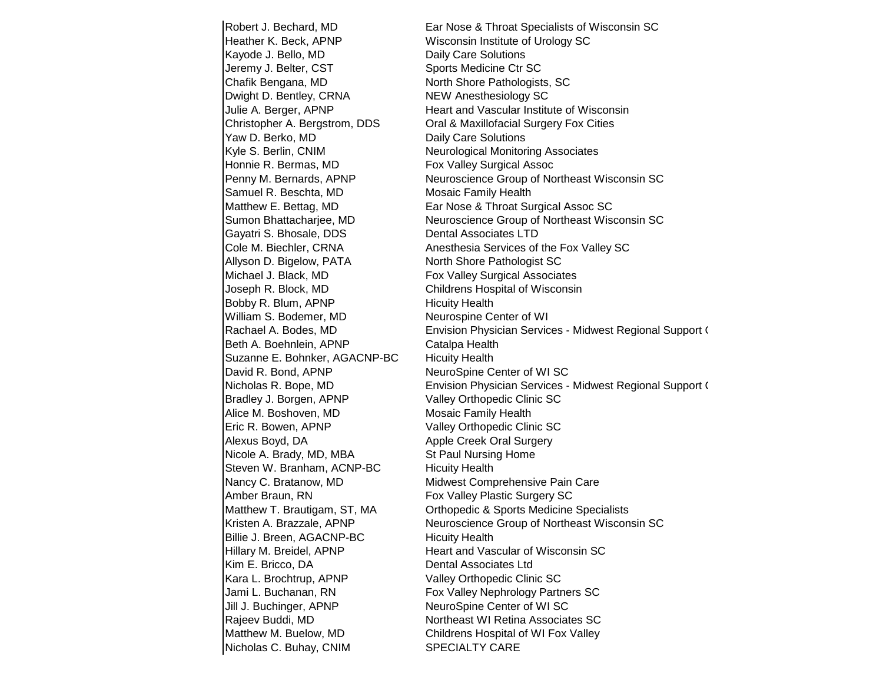Robert J. Bechard, MD Ear Nose & Throat Specialists of Wisconsin SC Heather K. Beck, APNP Wisconsin Institute of Urology SC Kayode J. Bello, MD Daily Care Solutions Jeremy J. Belter, CST Sports Medicine Ctr SC Chafik Bengana, MD North Shore Pathologists, SC Dwight D. Bentley, CRNA NEW Anesthesiology SC Yaw D. Berko, MD Daily Care Solutions Kyle S. Berlin, CNIM Neurological Monitoring Associates Honnie R. Bermas, MD Fox Valley Surgical Assoc Samuel R. Beschta, MD Mosaic Family Health Gayatri S. Bhosale, DDS Dental Associates LTD Allyson D. Bigelow, PATA North Shore Pathologist SC Michael J. Black, MD **Fox Valley Surgical Associates** Joseph R. Block, MD Childrens Hospital of Wisconsin Bobby R. Blum, APNP Hicuity Health William S. Bodemer, MD Neurospine Center of WI Beth A. Boehnlein, APNP Catalpa Health Suzanne E. Bohnker, AGACNP-BC Hicuity Health David R. Bond, APNP NeuroSpine Center of WI SC Bradley J. Borgen, APNP Valley Orthopedic Clinic SC Alice M. Boshoven, MD Mosaic Family Health Eric R. Bowen, APNP Valley Orthopedic Clinic SC Alexus Boyd, DA Apple Creek Oral Surgery Nicole A. Brady, MD, MBA St Paul Nursing Home Steven W. Branham, ACNP-BC Hicuity Health Nancy C. Bratanow, MD Midwest Comprehensive Pain Care Amber Braun, RN Fox Valley Plastic Surgery SC Billie J. Breen, AGACNP-BC Hicuity Health Hillary M. Breidel, APNP Heart and Vascular of Wisconsin SC Kim E. Bricco, DA Dental Associates Ltd Kara L. Brochtrup, APNP Valley Orthopedic Clinic SC Jami L. Buchanan, RN Fox Valley Nephrology Partners SC Jill J. Buchinger, APNP NeuroSpine Center of WI SC Rajeev Buddi, MD Northeast WI Retina Associates SC Matthew M. Buelow, MD Childrens Hospital of WI Fox Valley Nicholas C. Buhay, CNIM SPECIALTY CARE

Julie A. Berger, APNP Heart and Vascular Institute of Wisconsin Christopher A. Bergstrom, DDS Oral & Maxillofacial Surgery Fox Cities Penny M. Bernards, APNP Neuroscience Group of Northeast Wisconsin SC Matthew E. Bettag, MD **Ear Nose & Throat Surgical Assoc SC** Sumon Bhattacharjee, MD Neuroscience Group of Northeast Wisconsin SC Cole M. Biechler, CRNA Anesthesia Services of the Fox Valley SC Rachael A. Bodes, MD **Envision Physician Services - Midwest Regional Support C** Nicholas R. Bope, MD **Envision Physician Services - Midwest Regional Support C** Matthew T. Brautigam, ST, MA Orthopedic & Sports Medicine Specialists Kristen A. Brazzale, APNP Neuroscience Group of Northeast Wisconsin SC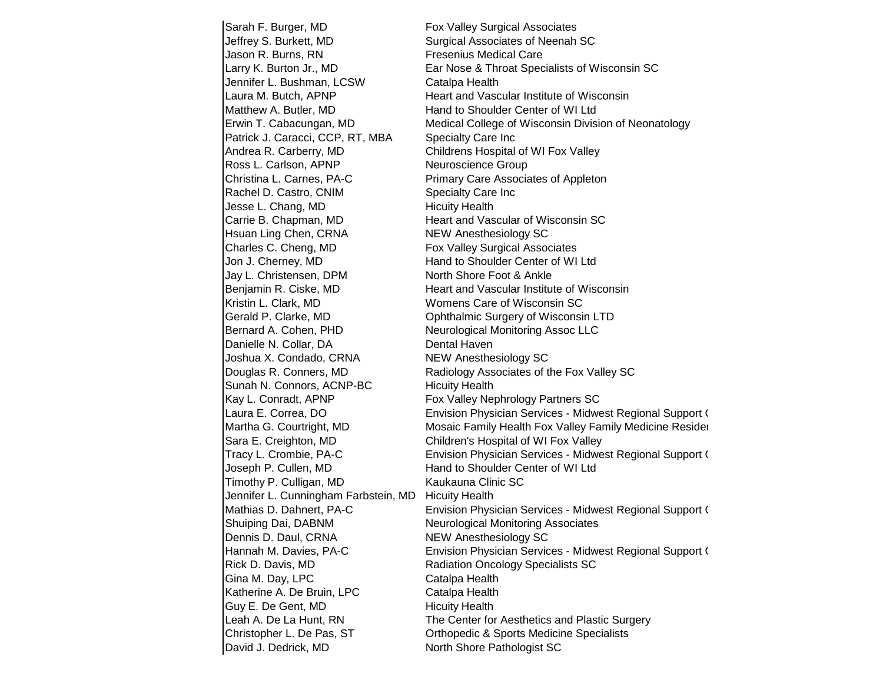Sarah F. Burger, MD Fox Valley Surgical Associates Jeffrey S. Burkett, MD Surgical Associates of Neenah SC Jason R. Burns, RN Fresenius Medical Care Larry K. Burton Jr., MD Ear Nose & Throat Specialists of Wisconsin SC Jennifer L. Bushman, LCSW Catalpa Health Laura M. Butch, APNP **Heart and Vascular Institute of Wisconsin** Matthew A. Butler, MD **Hand to Shoulder Center of WI Ltd** Erwin T. Cabacungan, MD Medical College of Wisconsin Division of Neonatology Patrick J. Caracci, CCP, RT, MBA Specialty Care Inc Andrea R. Carberry, MD Childrens Hospital of WI Fox Valley Ross L. Carlson, APNP Neuroscience Group Christina L. Carnes, PA-C Primary Care Associates of Appleton Rachel D. Castro, CNIM Specialty Care Inc Jesse L. Chang, MD Hicuity Health Carrie B. Chapman, MD Heart and Vascular of Wisconsin SC Hsuan Ling Chen, CRNA NEW Anesthesiology SC Charles C. Cheng, MD Fox Valley Surgical Associates Jon J. Cherney, MD Hand to Shoulder Center of WI Ltd Jay L. Christensen, DPM North Shore Foot & Ankle Benjamin R. Ciske, MD **Heart and Vascular Institute of Wisconsin** Kristin L. Clark, MD Womens Care of Wisconsin SC Gerald P. Clarke, MD Cohthalmic Surgery of Wisconsin LTD Bernard A. Cohen, PHD Neurological Monitoring Assoc LLC Danielle N. Collar, DA Dental Haven Joshua X. Condado, CRNA NEW Anesthesiology SC Douglas R. Conners, MD Radiology Associates of the Fox Valley SC Sunah N. Connors, ACNP-BC Hicuity Health Kay L. Conradt, APNP Fox Valley Nephrology Partners SC Laura E. Correa, DO **Envision Physician Services - Midwest Regional Support C** Martha G. Courtright, MD Mosaic Family Health Fox Valley Family Medicine Resider Sara E. Creighton, MD Children's Hospital of WI Fox Valley Tracy L. Crombie, PA-C **Envision Physician Services - Midwest Regional Support C** Joseph P. Cullen, MD Hand to Shoulder Center of WI Ltd Timothy P. Culligan, MD Kaukauna Clinic SC Jennifer L. Cunningham Farbstein, MD Hicuity Health Mathias D. Dahnert, PA-C **Envision Physician Services - Midwest Regional Support C** Shuiping Dai, DABNM Neurological Monitoring Associates Dennis D. Daul, CRNA NEW Anesthesiology SC Hannah M. Davies, PA-C **Envision Physician Services - Midwest Regional Support C** Rick D. Davis, MD Radiation Oncology Specialists SC Gina M. Day, LPC Catalpa Health Katherine A. De Bruin, LPC Catalpa Health Guy E. De Gent, MD Hicuity Health Leah A. De La Hunt, RN The Center for Aesthetics and Plastic Surgery Christopher L. De Pas, ST Orthopedic & Sports Medicine Specialists **David J. Dedrick, MD** North Shore Pathologist SC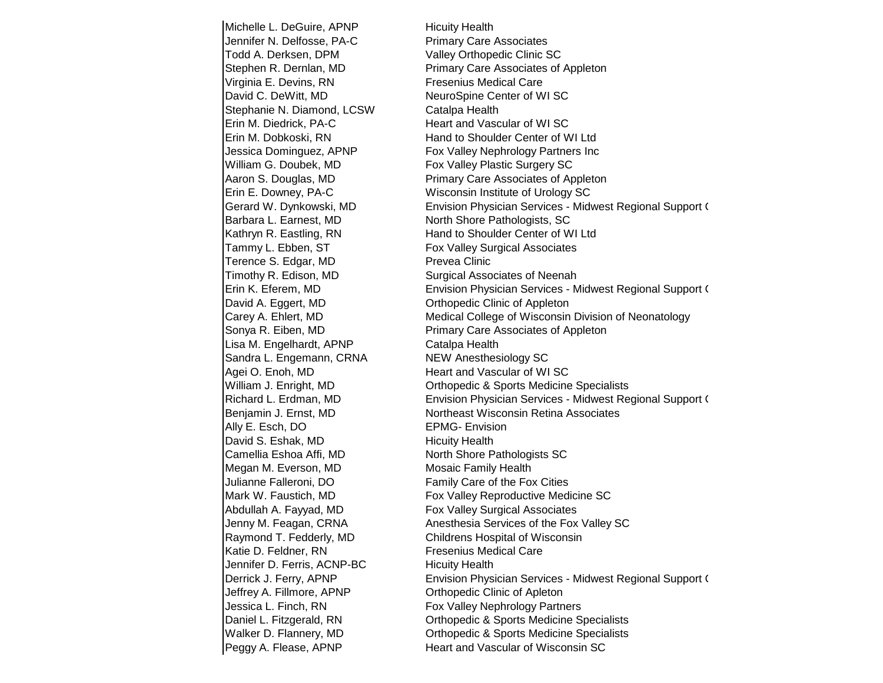Michelle L. DeGuire, APNP Hicuity Health Jennifer N. Delfosse, PA-C Primary Care Associates Todd A. Derksen, DPM Valley Orthopedic Clinic SC Virginia E. Devins, RN Fresenius Medical Care David C. DeWitt, MD NeuroSpine Center of WI SC Stephanie N. Diamond, LCSW Catalpa Health Erin M. Diedrick, PA-C Heart and Vascular of WI SC William G. Doubek, MD Fox Valley Plastic Surgery SC Barbara L. Earnest, MD North Shore Pathologists, SC Tammy L. Ebben, ST Fox Valley Surgical Associates Terence S. Edgar, MD Prevea Clinic Timothy R. Edison, MD Surgical Associates of Neenah David A. Eggert, MD Cribopedic Clinic of Appleton Lisa M. Engelhardt, APNP Catalpa Health Sandra L. Engemann, CRNA NEW Anesthesiology SC Agei O. Enoh, MD Heart and Vascular of WI SC Ally E. Esch, DO **EPMG-** EPMG- Envision David S. Eshak, MD Hicuity Health Camellia Eshoa Affi, MD North Shore Pathologists SC Megan M. Everson, MD Mosaic Family Health Julianne Falleroni, DO Family Care of the Fox Cities Abdullah A. Fayyad, MD Fox Valley Surgical Associates Katie D. Feldner, RN Fresenius Medical Care Jennifer D. Ferris, ACNP-BC Hicuity Health Jeffrey A. Fillmore, APNP Orthopedic Clinic of Apleton

Stephen R. Dernlan, MD Primary Care Associates of Appleton Erin M. Dobkoski, RN Hand to Shoulder Center of WI Ltd Jessica Dominguez, APNP Fox Valley Nephrology Partners Inc Aaron S. Douglas, MD Primary Care Associates of Appleton Erin E. Downey, PA-C Wisconsin Institute of Urology SC Gerard W. Dynkowski, MD **Envision Physician Services - Midwest Regional Support C** Kathryn R. Eastling, RN Hand to Shoulder Center of WI Ltd Erin K. Eferem, MD **Envision Physician Services - Midwest Regional Support C** Carey A. Ehlert, MD **Medical College of Wisconsin Division of Neonatology** Sonya R. Eiben, MD Primary Care Associates of Appleton William J. Enright, MD Orthopedic & Sports Medicine Specialists Richard L. Erdman, MD **Envision Physician Services - Midwest Regional Support C** Benjamin J. Ernst, MD Northeast Wisconsin Retina Associates Mark W. Faustich, MD Fox Valley Reproductive Medicine SC Jenny M. Feagan, CRNA **Anesthesia Services of the Fox Valley SC** Raymond T. Fedderly, MD Childrens Hospital of Wisconsin Derrick J. Ferry, APNP **Envision Physician Services - Midwest Regional Support C** Jessica L. Finch, RN Fox Valley Nephrology Partners Daniel L. Fitzgerald, RN Orthopedic & Sports Medicine Specialists Walker D. Flannery, MD Orthopedic & Sports Medicine Specialists **Peggy A. Flease, APNP** Heart and Vascular of Wisconsin SC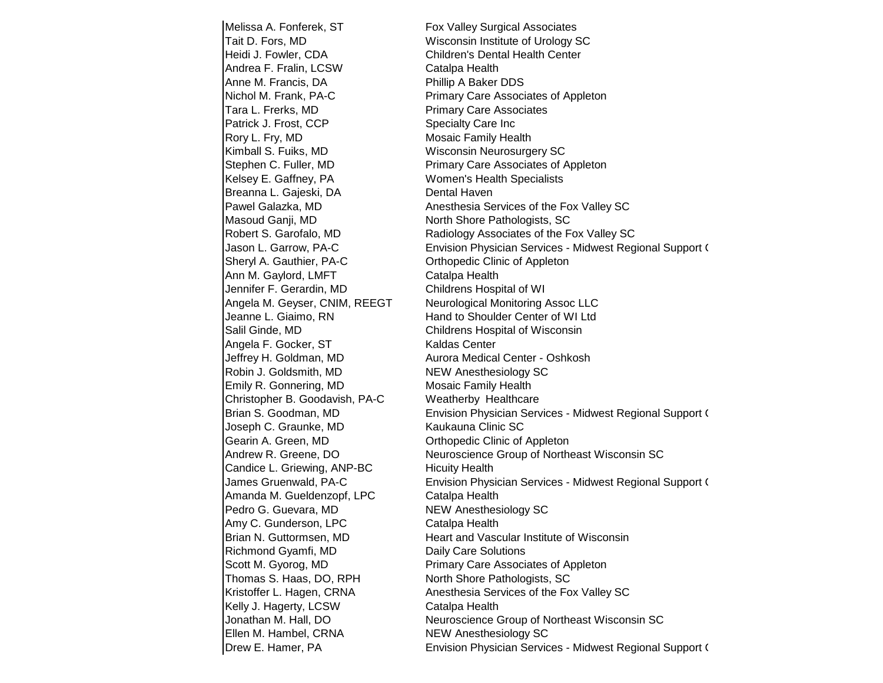Melissa A. Fonferek, ST Fox Valley Surgical Associates Tait D. Fors, MD Wisconsin Institute of Urology SC Heidi J. Fowler, CDA Children's Dental Health Center Andrea F. Fralin, LCSW Catalpa Health Anne M. Francis, DA **Phillip A Baker DDS** Nichol M. Frank, PA-C Primary Care Associates of Appleton Tara L. Frerks, MD Primary Care Associates Patrick J. Frost, CCP Specialty Care Inc Rory L. Fry, MD Mosaic Family Health Kimball S. Fuiks, MD Wisconsin Neurosurgery SC Stephen C. Fuller, MD **Primary Care Associates of Appleton** Kelsey E. Gaffney, PA Women's Health Specialists Breanna L. Gajeski, DA Dental Haven Pawel Galazka, MD Anesthesia Services of the Fox Valley SC Masoud Ganji, MD North Shore Pathologists, SC Robert S. Garofalo, MD Radiology Associates of the Fox Valley SC Sheryl A. Gauthier, PA-C **Canadian Control Clinic Clinic of Appleton** Ann M. Gaylord, LMFT Catalpa Health Jennifer F. Gerardin, MD Childrens Hospital of WI Angela M. Geyser, CNIM, REEGT Neurological Monitoring Assoc LLC Jeanne L. Giaimo, RN Hand to Shoulder Center of WI Ltd Salil Ginde, MD Childrens Hospital of Wisconsin Angela F. Gocker, ST Kaldas Center Jeffrey H. Goldman, MD Aurora Medical Center - Oshkosh Robin J. Goldsmith, MD NEW Anesthesiology SC Emily R. Gonnering, MD Mosaic Family Health Christopher B. Goodavish, PA-C Weatherby Healthcare Joseph C. Graunke, MD Kaukauna Clinic SC Gearin A. Green, MD Crimic of Appleton Candice L. Griewing, ANP-BC Hicuity Health Amanda M. Gueldenzopf, LPC Catalpa Health Pedro G. Guevara, MD NEW Anesthesiology SC Amy C. Gunderson, LPC Catalpa Health Brian N. Guttormsen, MD Heart and Vascular Institute of Wisconsin Richmond Gyamfi, MD Daily Care Solutions Scott M. Gyorog, MD **Primary Care Associates of Appleton** Thomas S. Haas, DO, RPH North Shore Pathologists, SC Kristoffer L. Hagen, CRNA Anesthesia Services of the Fox Valley SC Kelly J. Hagerty, LCSW Catalpa Health **Ellen M. Hambel, CRNA** NEW Anesthesiology SC

Jason L. Garrow, PA-C **Envision Physician Services - Midwest Regional Support C** Brian S. Goodman, MD **Envision Physician Services - Midwest Regional Support C** Andrew R. Greene, DO Neuroscience Group of Northeast Wisconsin SC James Gruenwald, PA-C **Envision Physician Services - Midwest Regional Support C** Jonathan M. Hall, DO Neuroscience Group of Northeast Wisconsin SC Drew E. Hamer, PA **Electer 20 Envision Physician Services - Midwest Regional Support C**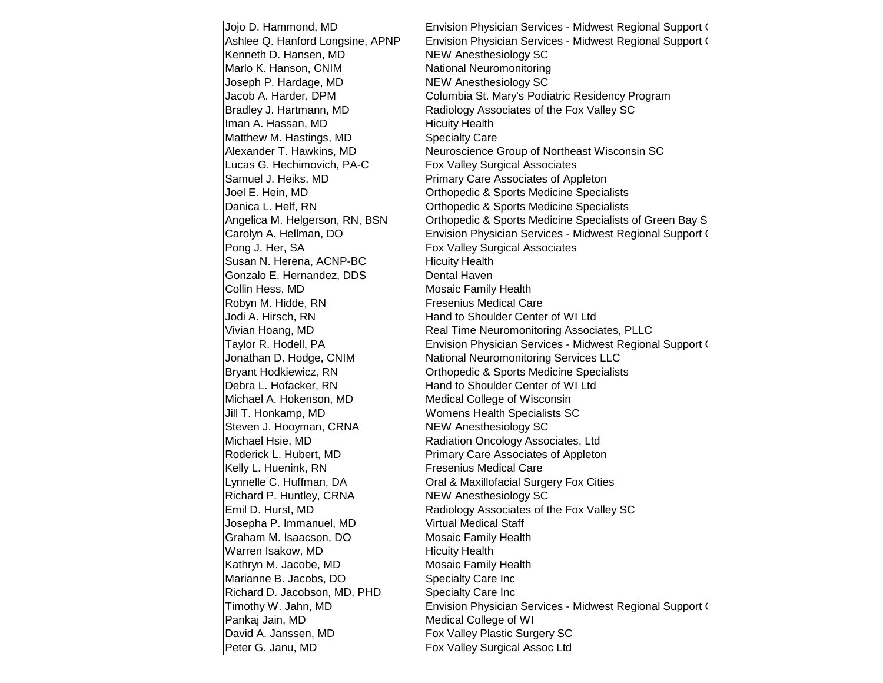Kenneth D. Hansen, MD NEW Anesthesiology SC Marlo K. Hanson, CNIM National Neuromonitoring Joseph P. Hardage, MD NEW Anesthesiology SC Iman A. Hassan, MD Hicuity Health Matthew M. Hastings, MD Specialty Care Lucas G. Hechimovich, PA-C Fox Valley Surgical Associates Samuel J. Heiks, MD **Primary Care Associates of Appleton** Pong J. Her, SA Fox Valley Surgical Associates Susan N. Herena, ACNP-BC Hicuity Health Gonzalo E. Hernandez, DDS Dental Haven Collin Hess, MD Mosaic Family Health Robyn M. Hidde, RN Fresenius Medical Care Jodi A. Hirsch, RN **Hand to Shoulder Center of WI** Ltd Debra L. Hofacker, RN Hand to Shoulder Center of WI Ltd Michael A. Hokenson, MD Medical College of Wisconsin Jill T. Honkamp, MD Womens Health Specialists SC Steven J. Hooyman, CRNA NEW Anesthesiology SC Michael Hsie, MD **Radiation Oncology Associates, Ltd** Roderick L. Hubert, MD Primary Care Associates of Appleton Kelly L. Huenink, RN Fresenius Medical Care Richard P. Huntley, CRNA NEW Anesthesiology SC Josepha P. Immanuel, MD Virtual Medical Staff Graham M. Isaacson, DO Mosaic Family Health Warren Isakow, MD Hicuity Health Kathryn M. Jacobe, MD Mosaic Family Health Marianne B. Jacobs, DO Specialty Care Inc Richard D. Jacobson, MD, PHD Specialty Care Inc Pankaj Jain, MD Medical College of WI David A. Janssen, MD Fox Valley Plastic Surgery SC **Peter G. Janu, MD** Fox Valley Surgical Assoc Ltd

Jojo D. Hammond, MD **Envision Physician Services - Midwest Regional Support C** Ashlee Q. Hanford Longsine, APNP Envision Physician Services - Midwest Regional Support C Jacob A. Harder, DPM Columbia St. Mary's Podiatric Residency Program Bradley J. Hartmann, MD Radiology Associates of the Fox Valley SC Alexander T. Hawkins, MD Neuroscience Group of Northeast Wisconsin SC Joel E. Hein, MD Orthopedic & Sports Medicine Specialists Danica L. Helf, RN Orthopedic & Sports Medicine Specialists Angelica M. Helgerson, RN, BSN Orthopedic & Sports Medicine Specialists of Green Bay S Carolyn A. Hellman, DO **Envision Physician Services - Midwest Regional Support C** Vivian Hoang, MD **Real Time Neuromonitoring Associates, PLLC** Taylor R. Hodell, PA **Envision Physician Services - Midwest Regional Support C** Jonathan D. Hodge, CNIM National Neuromonitoring Services LLC Bryant Hodkiewicz, RN Orthopedic & Sports Medicine Specialists Lynnelle C. Huffman, DA Oral & Maxillofacial Surgery Fox Cities Emil D. Hurst, MD Radiology Associates of the Fox Valley SC Timothy W. Jahn, MD **Envision Physician Services - Midwest Regional Support C**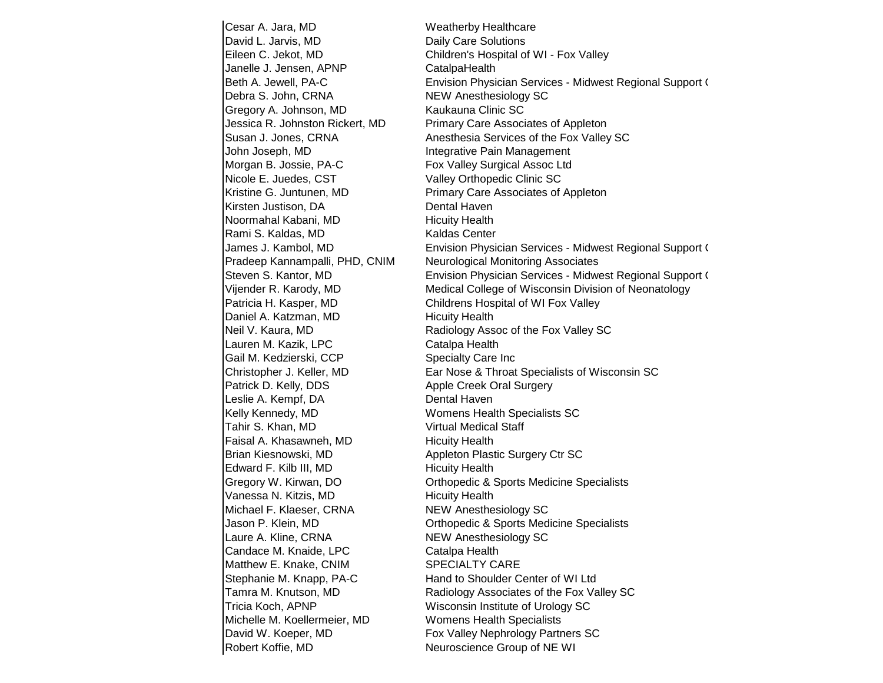Cesar A. Jara, MD Weatherby Healthcare David L. Jarvis, MD Daily Care Solutions Janelle J. Jensen, APNP CatalpaHealth Debra S. John, CRNA NEW Anesthesiology SC Gregory A. Johnson, MD Kaukauna Clinic SC Jessica R. Johnston Rickert, MD Primary Care Associates of Appleton John Joseph, MD **Integrative Pain Management** Morgan B. Jossie, PA-C Fox Valley Surgical Assoc Ltd Nicole E. Juedes, CST Valley Orthopedic Clinic SC Kristine G. Juntunen, MD Primary Care Associates of Appleton Kirsten Justison, DA Dental Haven Noormahal Kabani, MD Hicuity Health Rami S. Kaldas, MD Kaldas Center Pradeep Kannampalli, PHD, CNIM Neurological Monitoring Associates Patricia H. Kasper, MD Childrens Hospital of WI Fox Valley Daniel A. Katzman, MD Hicuity Health Lauren M. Kazik, LPC Catalpa Health Gail M. Kedzierski, CCP Specialty Care Inc Patrick D. Kelly, DDS Apple Creek Oral Surgery Leslie A. Kempf, DA Dental Haven Kelly Kennedy, MD Womens Health Specialists SC Tahir S. Khan, MD Virtual Medical Staff Faisal A. Khasawneh, MD Hicuity Health Brian Kiesnowski, MD Appleton Plastic Surgery Ctr SC Edward F. Kilb III, MD Hicuity Health Vanessa N. Kitzis, MD Hicuity Health Michael F. Klaeser, CRNA NEW Anesthesiology SC Laure A. Kline, CRNA NEW Anesthesiology SC Candace M. Knaide, LPC Catalpa Health Matthew E. Knake, CNIM SPECIALTY CARE Stephanie M. Knapp, PA-C Hand to Shoulder Center of WI Ltd Tricia Koch, APNP Wisconsin Institute of Urology SC Michelle M. Koellermeier, MD Womens Health Specialists David W. Koeper, MD Fox Valley Nephrology Partners SC **Robert Koffie, MD** Neuroscience Group of NE WI

Eileen C. Jekot, MD Children's Hospital of WI - Fox Valley Beth A. Jewell, PA-C **Envision Physician Services - Midwest Regional Support C** Susan J. Jones, CRNA Anesthesia Services of the Fox Valley SC James J. Kambol, MD **Envision Physician Services - Midwest Regional Support C** Steven S. Kantor, MD **Envision Physician Services - Midwest Regional Support C** Vijender R. Karody, MD Medical College of Wisconsin Division of Neonatology Neil V. Kaura, MD **Radiology Assoc of the Fox Valley SC** Christopher J. Keller, MD Ear Nose & Throat Specialists of Wisconsin SC Gregory W. Kirwan, DO Orthopedic & Sports Medicine Specialists Jason P. Klein, MD Orthopedic & Sports Medicine Specialists Tamra M. Knutson, MD Radiology Associates of the Fox Valley SC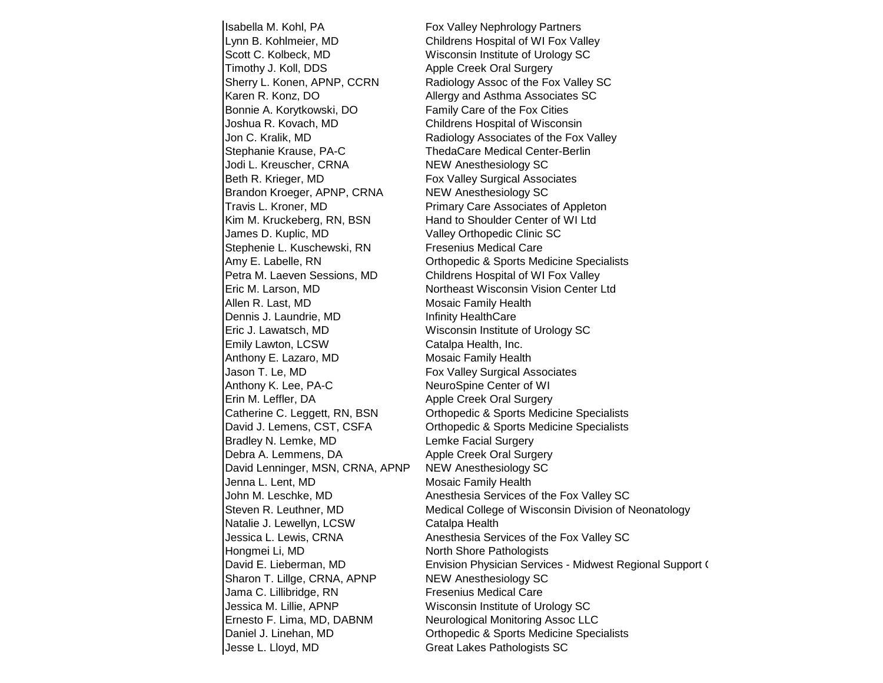Isabella M. Kohl, PA Fox Valley Nephrology Partners Lynn B. Kohlmeier, MD Childrens Hospital of WI Fox Valley Scott C. Kolbeck, MD Wisconsin Institute of Urology SC Timothy J. Koll, DDS Apple Creek Oral Surgery Karen R. Konz, DO **Allergy and Asthma Associates SC** Bonnie A. Korytkowski, DO Family Care of the Fox Cities Joshua R. Kovach, MD Childrens Hospital of Wisconsin Stephanie Krause, PA-C ThedaCare Medical Center-Berlin Jodi L. Kreuscher, CRNA NEW Anesthesiology SC Beth R. Krieger, MD **Fox Valley Surgical Associates** Brandon Kroeger, APNP, CRNA NEW Anesthesiology SC Travis L. Kroner, MD Primary Care Associates of Appleton Kim M. Kruckeberg, RN, BSN Hand to Shoulder Center of WI Ltd James D. Kuplic, MD Valley Orthopedic Clinic SC Stephenie L. Kuschewski, RN Fresenius Medical Care Petra M. Laeven Sessions, MD Childrens Hospital of WI Fox Valley Allen R. Last, MD Mosaic Family Health Dennis J. Laundrie, MD Infinity HealthCare Eric J. Lawatsch, MD Wisconsin Institute of Urology SC Emily Lawton, LCSW Catalpa Health, Inc. Anthony E. Lazaro, MD Mosaic Family Health Jason T. Le, MD Fox Valley Surgical Associates Anthony K. Lee, PA-C NeuroSpine Center of WI Erin M. Leffler, DA Apple Creek Oral Surgery Bradley N. Lemke, MD Lemke Facial Surgery Debra A. Lemmens, DA Apple Creek Oral Surgery David Lenninger, MSN, CRNA, APNP NEW Anesthesiology SC Jenna L. Lent, MD Mosaic Family Health Natalie J. Lewellyn, LCSW Catalpa Health Hongmei Li, MD North Shore Pathologists Sharon T. Lillge, CRNA, APNP NEW Anesthesiology SC Jama C. Lillibridge, RN Fresenius Medical Care Jessica M. Lillie, APNP Wisconsin Institute of Urology SC Ernesto F. Lima, MD, DABNM Neurological Monitoring Assoc LLC Jesse L. Lloyd, MD Great Lakes Pathologists SC

Sherry L. Konen, APNP, CCRN Radiology Assoc of the Fox Valley SC Jon C. Kralik, MD Radiology Associates of the Fox Valley Amy E. Labelle, RN Orthopedic & Sports Medicine Specialists Eric M. Larson, MD Northeast Wisconsin Vision Center Ltd Catherine C. Leggett, RN, BSN Orthopedic & Sports Medicine Specialists David J. Lemens, CST, CSFA Orthopedic & Sports Medicine Specialists John M. Leschke, MD Anesthesia Services of the Fox Valley SC Steven R. Leuthner, MD Medical College of Wisconsin Division of Neonatology Jessica L. Lewis, CRNA Anesthesia Services of the Fox Valley SC David E. Lieberman, MD **Envision Physician Services - Midwest Regional Support C** Daniel J. Linehan, MD Orthopedic & Sports Medicine Specialists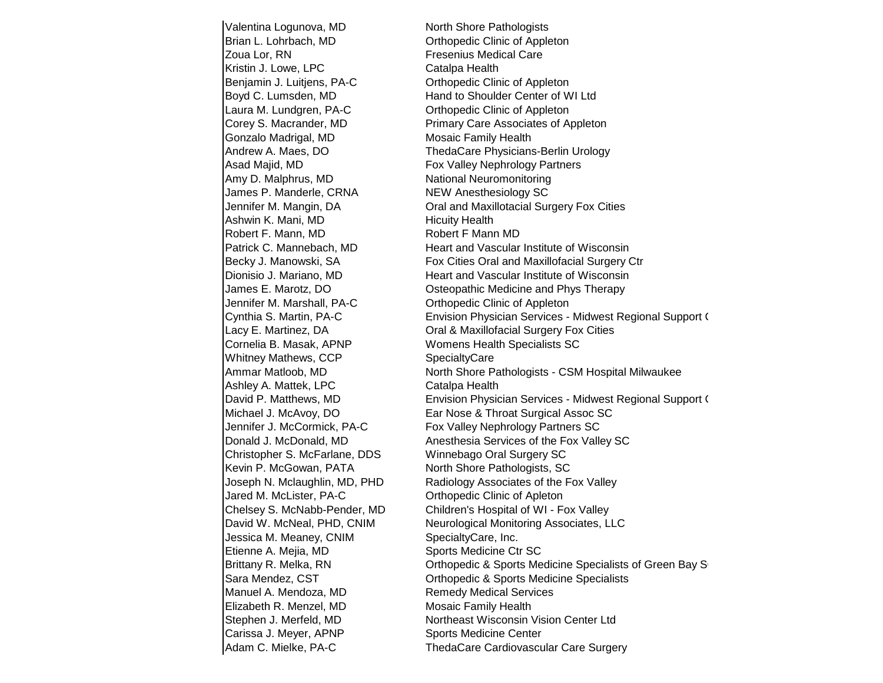Valentina Logunova, MD North Shore Pathologists Brian L. Lohrbach, MD Orthopedic Clinic of Appleton Zoua Lor, RN Fresenius Medical Care Kristin J. Lowe, LPC Catalpa Health Benjamin J. Luitjens, PA-C **Canadian Contract Clinic of Appleton** Laura M. Lundgren, PA-C Christophedic Clinic of Appleton Gonzalo Madrigal, MD Mosaic Family Health Asad Majid, MD **Fox Valley Nephrology Partners** Amy D. Malphrus, MD National Neuromonitoring James P. Manderle, CRNA NEW Anesthesiology SC Ashwin K. Mani, MD Hicuity Health Robert F. Mann, MD Robert F Mann MD Jennifer M. Marshall, PA-C Orthopedic Clinic of Appleton Cornelia B. Masak, APNP Womens Health Specialists SC Whitney Mathews, CCP SpecialtyCare Ashley A. Mattek, LPC Catalpa Health Christopher S. McFarlane, DDS Winnebago Oral Surgery SC Kevin P. McGowan, PATA North Shore Pathologists, SC Jared M. McLister, PA-C Orthopedic Clinic of Apleton Jessica M. Meaney, CNIM SpecialtyCare, Inc. Etienne A. Mejia, MD Sports Medicine Ctr SC Manuel A. Mendoza, MD Remedy Medical Services **Elizabeth R. Menzel, MD** Mosaic Family Health Carissa J. Meyer, APNP Sports Medicine Center

Boyd C. Lumsden, MD Hand to Shoulder Center of WI Ltd Corey S. Macrander, MD Primary Care Associates of Appleton Andrew A. Maes, DO ThedaCare Physicians-Berlin Urology Jennifer M. Mangin, DA Cral and Maxillotacial Surgery Fox Cities Patrick C. Mannebach, MD Heart and Vascular Institute of Wisconsin Becky J. Manowski, SA Fox Cities Oral and Maxillofacial Surgery Ctr Dionisio J. Mariano, MD Heart and Vascular Institute of Wisconsin James E. Marotz, DO Osteopathic Medicine and Phys Therapy Cynthia S. Martin, PA-C **Envision Physician Services - Midwest Regional Support C** Lacy E. Martinez, DA **Call & Maxillofacial Surgery Fox Cities** Ammar Matloob, MD North Shore Pathologists - CSM Hospital Milwaukee David P. Matthews, MD **Envision Physician Services - Midwest Regional Support C** Michael J. McAvoy, DO **Ear Nose & Throat Surgical Assoc SC** Jennifer J. McCormick, PA-C Fox Valley Nephrology Partners SC Donald J. McDonald, MD Anesthesia Services of the Fox Valley SC Joseph N. Mclaughlin, MD, PHD Radiology Associates of the Fox Valley Chelsey S. McNabb-Pender, MD Children's Hospital of WI - Fox Valley David W. McNeal, PHD, CNIM Neurological Monitoring Associates, LLC Brittany R. Melka, RN Communiculary Communiculary School Christense Specialists of Green Bay School Sara Mendez, CST Orthopedic & Sports Medicine Specialists Stephen J. Merfeld, MD Northeast Wisconsin Vision Center Ltd Adam C. Mielke, PA-C ThedaCare Cardiovascular Care Surgery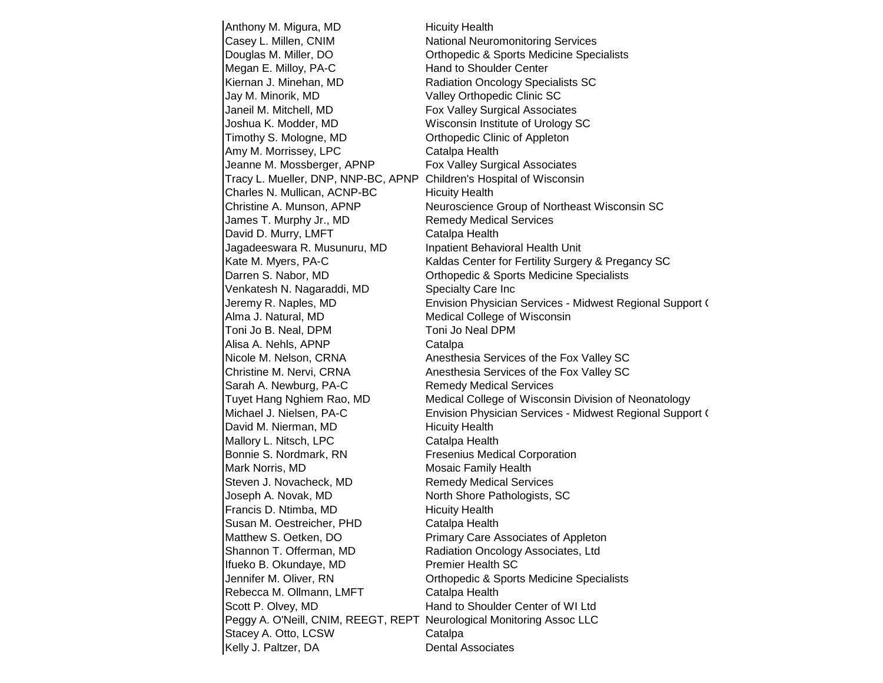Anthony M. Migura, MD Hicuity Health Casey L. Millen, CNIM National Neuromonitoring Services Douglas M. Miller, DO **Committed Control** Orthopedic & Sports Medicine Specialists Megan E. Milloy, PA-C Hand to Shoulder Center Kiernan J. Minehan, MD Radiation Oncology Specialists SC Jay M. Minorik, MD Valley Orthopedic Clinic SC Janeil M. Mitchell, MD Fox Valley Surgical Associates Joshua K. Modder, MD Wisconsin Institute of Urology SC Timothy S. Mologne, MD Orthopedic Clinic of Appleton Amy M. Morrissey, LPC Catalpa Health Jeanne M. Mossberger, APNP Fox Valley Surgical Associates Tracy L. Mueller, DNP, NNP-BC, APNP Children's Hospital of Wisconsin Charles N. Mullican, ACNP-BC Hicuity Health Christine A. Munson, APNP Neuroscience Group of Northeast Wisconsin SC James T. Murphy Jr., MD Remedy Medical Services David D. Murry, LMFT Catalpa Health Jagadeeswara R. Musunuru, MD Inpatient Behavioral Health Unit Kate M. Myers, PA-C Kaldas Center for Fertility Surgery & Pregancy SC Darren S. Nabor, MD Orthopedic & Sports Medicine Specialists Venkatesh N. Nagaraddi, MD Specialty Care Inc Jeremy R. Naples, MD **Envision Physician Services - Midwest Regional Support C** Alma J. Natural, MD Medical College of Wisconsin Toni Jo B. Neal, DPM Toni Jo Neal DPM Alisa A. Nehls, APNP Catalpa Nicole M. Nelson, CRNA Anesthesia Services of the Fox Valley SC Christine M. Nervi, CRNA Anesthesia Services of the Fox Valley SC Sarah A. Newburg, PA-C Remedy Medical Services Tuyet Hang Nghiem Rao, MD Medical College of Wisconsin Division of Neonatology Michael J. Nielsen, PA-C **Envision Physician Services - Midwest Regional Support C** David M. Nierman, MD Hicuity Health Mallory L. Nitsch, LPC Catalpa Health Bonnie S. Nordmark, RN Fresenius Medical Corporation Mark Norris, MD Mosaic Family Health Steven J. Novacheck, MD Remedy Medical Services Joseph A. Novak, MD North Shore Pathologists, SC Francis D. Ntimba, MD Hicuity Health Susan M. Oestreicher, PHD Catalpa Health Matthew S. Oetken, DO **Primary Care Associates of Appleton** Shannon T. Offerman, MD Radiation Oncology Associates, Ltd Ifueko B. Okundaye, MD Premier Health SC Jennifer M. Oliver, RN Orthopedic & Sports Medicine Specialists Rebecca M. Ollmann, LMFT Catalpa Health Scott P. Olvey, MD Hand to Shoulder Center of WI Ltd Peggy A. O'Neill, CNIM, REEGT, REPT Neurological Monitoring Assoc LLC Stacey A. Otto, LCSW Catalpa Kelly J. Paltzer, DA Dental Associates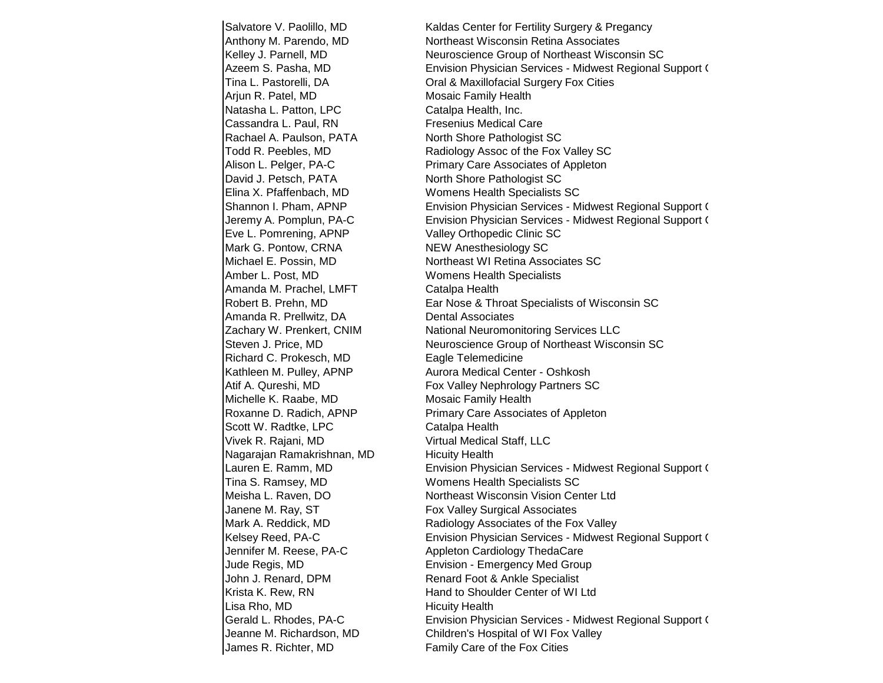Salvatore V. Paolillo, MD Kaldas Center for Fertility Surgery & Pregancy Arjun R. Patel, MD Mosaic Family Health Natasha L. Patton, LPC Catalpa Health, Inc. Cassandra L. Paul, RN Fresenius Medical Care Rachael A. Paulson, PATA North Shore Pathologist SC David J. Petsch, PATA North Shore Pathologist SC Elina X. Pfaffenbach, MD Womens Health Specialists SC Eve L. Pomrening, APNP Valley Orthopedic Clinic SC Mark G. Pontow, CRNA NEW Anesthesiology SC Amber L. Post, MD Womens Health Specialists Amanda M. Prachel, LMFT Catalpa Health Amanda R. Prellwitz, DA Dental Associates Richard C. Prokesch, MD Eagle Telemedicine Michelle K. Raabe, MD Mosaic Family Health Scott W. Radtke, LPC Catalpa Health Vivek R. Rajani, MD Virtual Medical Staff, LLC Nagarajan Ramakrishnan, MD Hicuity Health Tina S. Ramsey, MD Womens Health Specialists SC Janene M. Ray, ST **Fox Valley Surgical Associates** John J. Renard, DPM Renard Foot & Ankle Specialist Lisa Rho, MD **Hicuity Health** James R. Richter, MD Family Care of the Fox Cities

Anthony M. Parendo, MD Northeast Wisconsin Retina Associates Kelley J. Parnell, MD Neuroscience Group of Northeast Wisconsin SC Azeem S. Pasha, MD **Envision Physician Services - Midwest Regional Support C** Tina L. Pastorelli, DA Oral & Maxillofacial Surgery Fox Cities Todd R. Peebles, MD **Radiology Assoc of the Fox Valley SC** Alison L. Pelger, PA-C Primary Care Associates of Appleton Shannon I. Pham, APNP **Envision Physician Services - Midwest Regional Support C** Jeremy A. Pomplun, PA-C **Envision Physician Services - Midwest Regional Support C** Michael E. Possin, MD Northeast WI Retina Associates SC Robert B. Prehn, MD Ear Nose & Throat Specialists of Wisconsin SC Zachary W. Prenkert, CNIM National Neuromonitoring Services LLC Steven J. Price, MD Neuroscience Group of Northeast Wisconsin SC Kathleen M. Pulley, APNP **Aurora Medical Center - Oshkosh** Atif A. Qureshi, MD **Fox Valley Nephrology Partners SC** Roxanne D. Radich, APNP Primary Care Associates of Appleton Lauren E. Ramm, MD **Envision Physician Services - Midwest Regional Support C** Meisha L. Raven, DO Northeast Wisconsin Vision Center Ltd Mark A. Reddick, MD Radiology Associates of the Fox Valley Kelsey Reed, PA-C **Envision Physician Services - Midwest Regional Support C** Jennifer M. Reese, PA-C Appleton Cardiology ThedaCare Jude Regis, MD Envision - Emergency Med Group Krista K. Rew, RN **Krista K. Rew, RN** Hand to Shoulder Center of WI Ltd Gerald L. Rhodes, PA-C **Envision Physician Services - Midwest Regional Support C** Jeanne M. Richardson, MD Children's Hospital of WI Fox Valley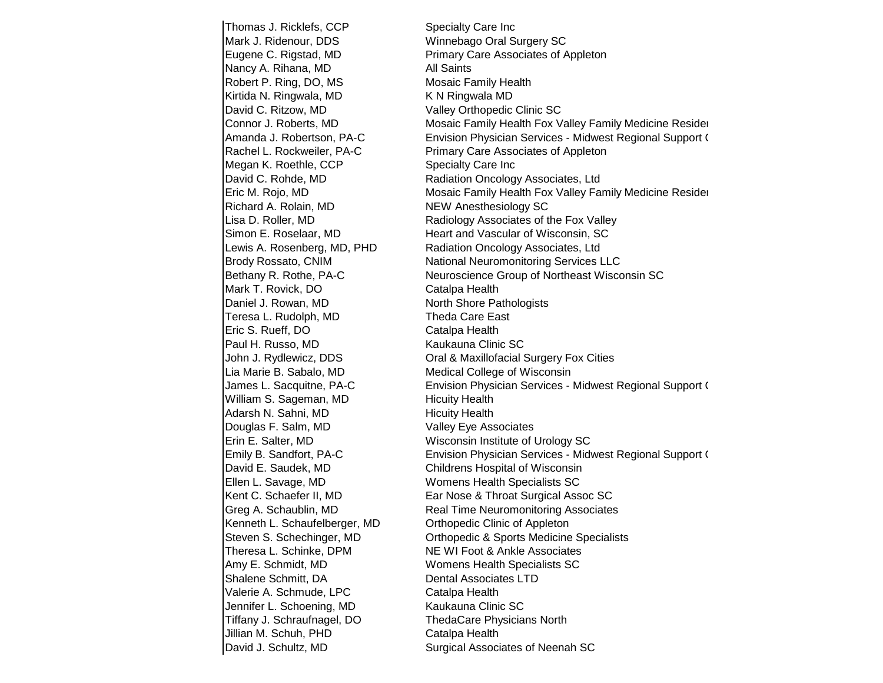Thomas J. Ricklefs, CCP Specialty Care Inc Mark J. Ridenour, DDS Winnebago Oral Surgery SC Nancy A. Rihana, MD All Saints Robert P. Ring, DO, MS Mosaic Family Health Kirtida N. Ringwala, MD K N Ringwala MD David C. Ritzow, MD Valley Orthopedic Clinic SC Megan K. Roethle, CCP Specialty Care Inc Richard A. Rolain, MD NEW Anesthesiology SC Mark T. Rovick, DO Catalpa Health Daniel J. Rowan, MD North Shore Pathologists Teresa L. Rudolph, MD Theda Care East Eric S. Rueff, DO Catalpa Health Paul H. Russo, MD Kaukauna Clinic SC Lia Marie B. Sabalo, MD Medical College of Wisconsin William S. Sageman, MD Hicuity Health Adarsh N. Sahni, MD Hicuity Health Douglas F. Salm, MD Valley Eye Associates Erin E. Salter, MD Wisconsin Institute of Urology SC David E. Saudek, MD Childrens Hospital of Wisconsin Ellen L. Savage, MD Womens Health Specialists SC Kenneth L. Schaufelberger, MD Orthopedic Clinic of Appleton Theresa L. Schinke, DPM NE WI Foot & Ankle Associates Amy E. Schmidt, MD Womens Health Specialists SC Shalene Schmitt, DA Dental Associates LTD Valerie A. Schmude, LPC Catalpa Health Jennifer L. Schoening, MD Kaukauna Clinic SC Tiffany J. Schraufnagel, DO ThedaCare Physicians North Jillian M. Schuh, PHD Catalpa Health

Eugene C. Rigstad, MD **Primary Care Associates of Appleton** Connor J. Roberts, MD **Mosaic Family Health Fox Valley Family Medicine Resider** Amanda J. Robertson, PA-C Envision Physician Services - Midwest Regional Support C Rachel L. Rockweiler, PA-C Primary Care Associates of Appleton David C. Rohde, MD **Radiation Oncology Associates, Ltd** Eric M. Rojo, MD **Mosaic Family Health Fox Valley Family Medicine Residency** Lisa D. Roller, MD **Radiology Associates of the Fox Valley** Simon E. Roselaar, MD **Heart and Vascular of Wisconsin, SC** Lewis A. Rosenberg, MD, PHD Radiation Oncology Associates, Ltd Brody Rossato, CNIM National Neuromonitoring Services LLC Bethany R. Rothe, PA-C Neuroscience Group of Northeast Wisconsin SC John J. Rydlewicz, DDS **Oral & Maxillofacial Surgery Fox Cities** James L. Sacquitne, PA-C **Envision Physician Services - Midwest Regional Support C** Emily B. Sandfort, PA-C **Envision Physician Services - Midwest Regional Support C** Kent C. Schaefer II, MD **Ear Nose & Throat Surgical Assoc SC** Greg A. Schaublin, MD **Real Time Neuromonitoring Associates** Steven S. Schechinger, MD Orthopedic & Sports Medicine Specialists David J. Schultz, MD Surgical Associates of Neenah SC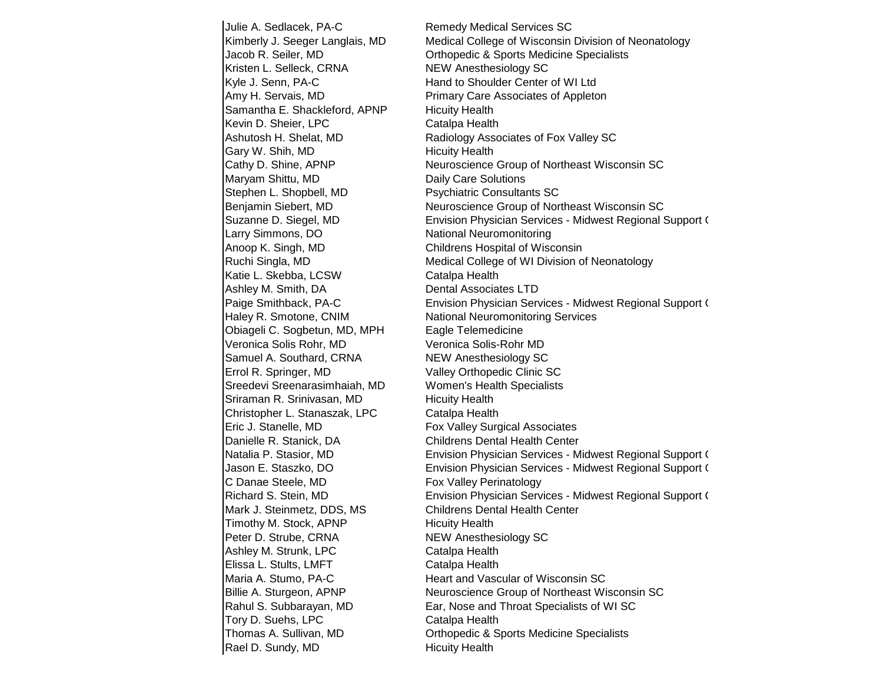Julie A. Sedlacek, PA-C Remedy Medical Services SC Kristen L. Selleck, CRNA NEW Anesthesiology SC Kyle J. Senn, PA-C Hand to Shoulder Center of WI Ltd Amy H. Servais, MD Primary Care Associates of Appleton Samantha E. Shackleford, APNP Hicuity Health Kevin D. Sheier, LPC Catalpa Health Gary W. Shih, MD Hicuity Health Maryam Shittu, MD Daily Care Solutions Stephen L. Shopbell, MD Psychiatric Consultants SC Larry Simmons, DO National Neuromonitoring Anoop K. Singh, MD Childrens Hospital of Wisconsin Katie L. Skebba, LCSW Catalpa Health Ashley M. Smith, DA Dental Associates LTD Haley R. Smotone, CNIM National Neuromonitoring Services Obiageli C. Sogbetun, MD, MPH Eagle Telemedicine Veronica Solis Rohr, MD Veronica Solis-Rohr MD Samuel A. Southard, CRNA NEW Anesthesiology SC Errol R. Springer, MD Valley Orthopedic Clinic SC Sreedevi Sreenarasimhaiah, MD Women's Health Specialists Sriraman R. Srinivasan, MD Hicuity Health Christopher L. Stanaszak, LPC Catalpa Health Eric J. Stanelle, MD Fox Valley Surgical Associates Danielle R. Stanick, DA Childrens Dental Health Center C Danae Steele, MD Fox Valley Perinatology Mark J. Steinmetz, DDS, MS Childrens Dental Health Center Timothy M. Stock, APNP Hicuity Health Peter D. Strube, CRNA NEW Anesthesiology SC Ashley M. Strunk, LPC Catalpa Health Elissa L. Stults, LMFT Catalpa Health Maria A. Stumo, PA-C **Heart and Vascular of Wisconsin SC** Tory D. Suehs, LPC Catalpa Health Rael D. Sundy, MD Hicuity Health

Kimberly J. Seeger Langlais, MD Medical College of Wisconsin Division of Neonatology Jacob R. Seiler, MD Orthopedic & Sports Medicine Specialists Ashutosh H. Shelat, MD Radiology Associates of Fox Valley SC Cathy D. Shine, APNP Neuroscience Group of Northeast Wisconsin SC Benjamin Siebert, MD Neuroscience Group of Northeast Wisconsin SC Suzanne D. Siegel, MD **Envision Physician Services - Midwest Regional Support C** Ruchi Singla, MD Medical College of WI Division of Neonatology Paige Smithback, PA-C **Envision Physician Services - Midwest Regional Support C** Natalia P. Stasior, MD **Envision Physician Services - Midwest Regional Support C** Jason E. Staszko, DO **Envision Physician Services - Midwest Regional Support C** Richard S. Stein, MD **Envision Physician Services - Midwest Regional Support C** Billie A. Sturgeon, APNP Neuroscience Group of Northeast Wisconsin SC Rahul S. Subbarayan, MD Ear, Nose and Throat Specialists of WI SC Thomas A. Sullivan, MD Orthopedic & Sports Medicine Specialists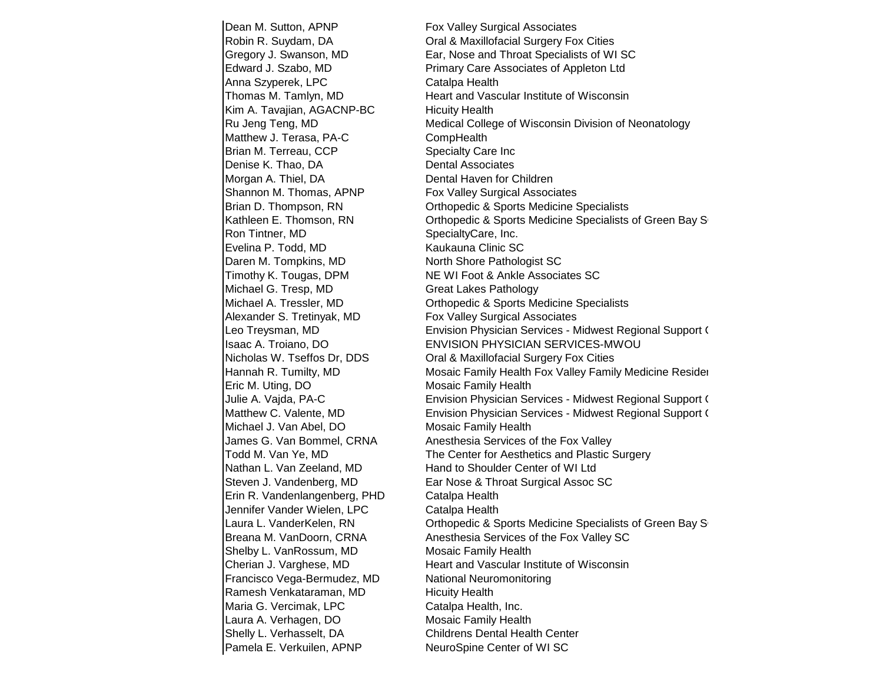Dean M. Sutton, APNP Fox Valley Surgical Associates Anna Szyperek, LPC Catalpa Health Kim A. Tavajian, AGACNP-BC Hicuity Health Matthew J. Terasa, PA-C CompHealth Brian M. Terreau, CCP Specialty Care Inc Denise K. Thao, DA Dental Associates Morgan A. Thiel, DA Dental Haven for Children Shannon M. Thomas, APNP Fox Valley Surgical Associates Ron Tintner, MD SpecialtyCare, Inc. Evelina P. Todd, MD Kaukauna Clinic SC Daren M. Tompkins, MD North Shore Pathologist SC Michael G. Tresp, MD Great Lakes Pathology Alexander S. Tretinyak, MD Fox Valley Surgical Associates Eric M. Uting, DO Mosaic Family Health Michael J. Van Abel, DO Mosaic Family Health Erin R. Vandenlangenberg, PHD Catalpa Health Jennifer Vander Wielen, LPC Catalpa Health Shelby L. VanRossum, MD Mosaic Family Health Francisco Vega-Bermudez, MD National Neuromonitoring Ramesh Venkataraman, MD Hicuity Health Maria G. Vercimak, LPC Catalpa Health, Inc. Laura A. Verhagen, DO Mosaic Family Health Shelly L. Verhasselt, DA Childrens Dental Health Center Pamela E. Verkuilen, APNP NeuroSpine Center of WI SC

Robin R. Suydam, DA Oral & Maxillofacial Surgery Fox Cities Gregory J. Swanson, MD Ear, Nose and Throat Specialists of WI SC Edward J. Szabo, MD Primary Care Associates of Appleton Ltd Thomas M. Tamlyn, MD Heart and Vascular Institute of Wisconsin Ru Jeng Teng, MD **Medical College of Wisconsin Division of Neonatology** Brian D. Thompson, RN Orthopedic & Sports Medicine Specialists Kathleen E. Thomson, RN Critopedic & Sports Medicine Specialists of Green Bay SCR Timothy K. Tougas, DPM NE WI Foot & Ankle Associates SC Michael A. Tressler, MD Orthopedic & Sports Medicine Specialists Leo Treysman, MD **Envision Physician Services - Midwest Regional Support C**enters Act Act Act Envision Physician Services - Midwest Regional Support C Isaac A. Troiano, DO ENVISION PHYSICIAN SERVICES-MWOU Nicholas W. Tseffos Dr, DDS **Cal & Maxillofacial Surgery Fox Cities** Hannah R. Tumilty, MD Mosaic Family Health Fox Valley Family Medicine Resider Julie A. Vajda, PA-C **Envision Physician Services - Midwest Regional Support C** Matthew C. Valente, MD **Envision Physician Services - Midwest Regional Support C** James G. Van Bommel, CRNA Anesthesia Services of the Fox Valley Todd M. Van Ye, MD The Center for Aesthetics and Plastic Surgery Nathan L. Van Zeeland, MD Hand to Shoulder Center of WI Ltd Steven J. Vandenberg, MD Ear Nose & Throat Surgical Assoc SC Laura L. VanderKelen, RN Crihopedic & Sports Medicine Specialists of Green Bay S Breana M. VanDoorn, CRNA Anesthesia Services of the Fox Valley SC Cherian J. Varghese, MD Heart and Vascular Institute of Wisconsin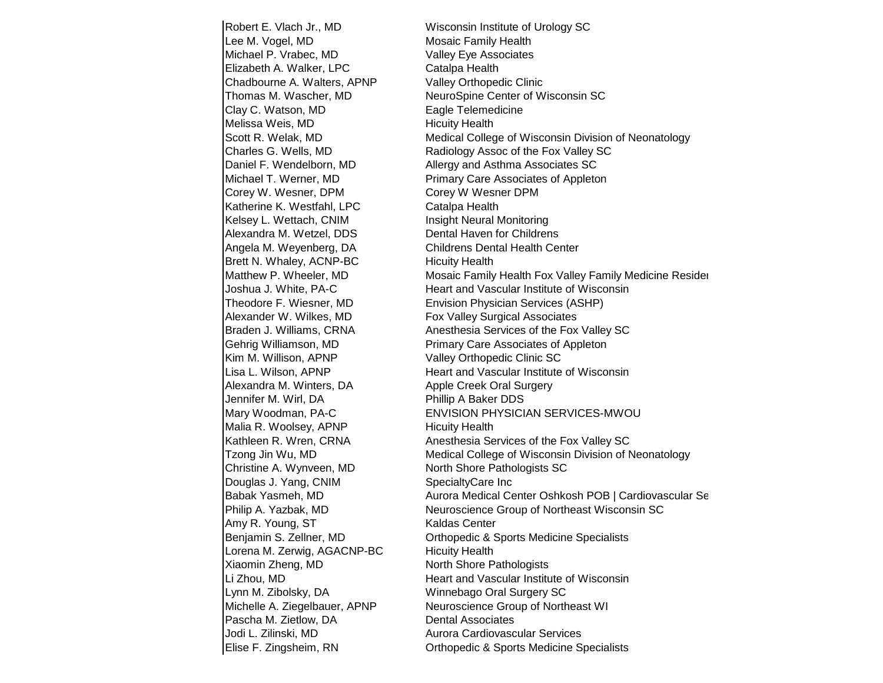Robert E. Vlach Jr., MD Wisconsin Institute of Urology SC Lee M. Vogel, MD Mosaic Family Health Michael P. Vrabec, MD Valley Eye Associates Elizabeth A. Walker, LPC Catalpa Health Chadbourne A. Walters, APNP Valley Orthopedic Clinic Clay C. Watson, MD Eagle Telemedicine Melissa Weis, MD Hicuity Health Corey W. Wesner, DPM Corey W Wesner DPM Katherine K. Westfahl, LPC Catalpa Health Kelsey L. Wettach, CNIM Insight Neural Monitoring Alexandra M. Wetzel, DDS Dental Haven for Childrens Angela M. Weyenberg, DA Childrens Dental Health Center Brett N. Whaley, ACNP-BC Hicuity Health Alexander W. Wilkes, MD Fox Valley Surgical Associates Kim M. Willison, APNP Valley Orthopedic Clinic SC Alexandra M. Winters, DA Apple Creek Oral Surgery Jennifer M. Wirl, DA **Phillip A Baker DDS** Malia R. Woolsey, APNP Hicuity Health Christine A. Wynveen, MD North Shore Pathologists SC Douglas J. Yang, CNIM SpecialtyCare Inc Amy R. Young, ST Kaldas Center Lorena M. Zerwig, AGACNP-BC Hicuity Health Xiaomin Zheng, MD North Shore Pathologists Lynn M. Zibolsky, DA Winnebago Oral Surgery SC Pascha M. Zietlow, DA Dental Associates Jodi L. Zilinski, MD Aurora Cardiovascular Services

Thomas M. Wascher, MD NeuroSpine Center of Wisconsin SC Scott R. Welak, MD Medical College of Wisconsin Division of Neonatology Charles G. Wells, MD Radiology Assoc of the Fox Valley SC Daniel F. Wendelborn, MD Allergy and Asthma Associates SC Michael T. Werner, MD **Primary Care Associates of Appleton** Matthew P. Wheeler, MD Mosaic Family Health Fox Valley Family Medicine Resider Joshua J. White, PA-C Heart and Vascular Institute of Wisconsin Theodore F. Wiesner, MD Envision Physician Services (ASHP) Braden J. Williams, CRNA **Anesthesia Services of the Fox Valley SC** Gehrig Williamson, MD **Primary Care Associates of Appleton** Lisa L. Wilson, APNP **Heart and Vascular Institute of Wisconsin** Mary Woodman, PA-C ENVISION PHYSICIAN SERVICES-MWOU Kathleen R. Wren, CRNA Anesthesia Services of the Fox Valley SC Tzong Jin Wu, MD Medical College of Wisconsin Division of Neonatology Babak Yasmeh, MD Aurora Medical Center Oshkosh POB | Cardiovascular Services of Aurora Medical Center Oshkosh Philip A. Yazbak, MD Neuroscience Group of Northeast Wisconsin SC Benjamin S. Zellner, MD Orthopedic & Sports Medicine Specialists Li Zhou, MD Heart and Vascular Institute of Wisconsin Michelle A. Ziegelbauer, APNP Neuroscience Group of Northeast WI Elise F. Zingsheim, RN Orthopedic & Sports Medicine Specialists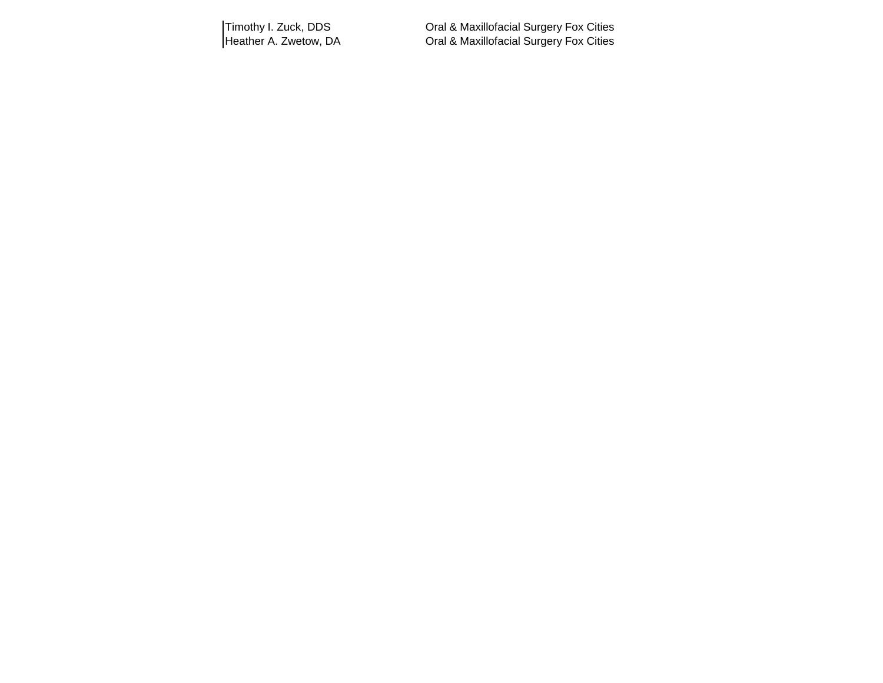Timothy I. Zuck, DDS Oral & Maxillofacial Surgery Fox Cities Heather A. Zwetow, DA **Cal & Maxillofacial Surgery Fox Cities**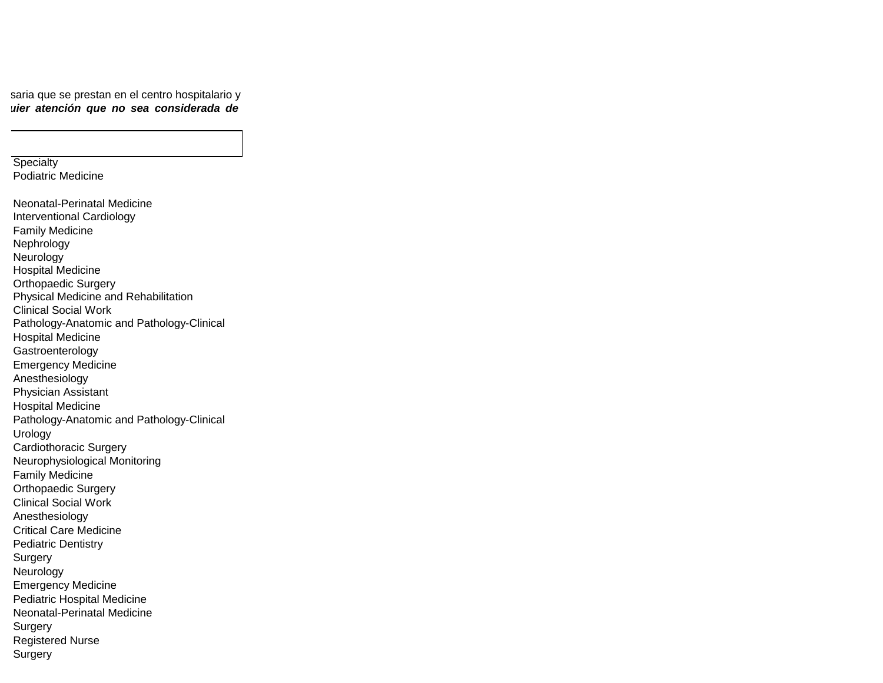saria que se prestan en el centro hospitalario y uier atención que no sea considerada de

**Specialty** Podiatric Medicine

Neonatal-Perinatal Medicine Interventional Cardiology Family Medicine Nephrology Neurology Hospital Medicine Orthopaedic Surgery Physical Medicine and Rehabilitation Clinical Social Work Pathology-Anatomic and Pathology-Clinical Hospital Medicine Gastroenterology Emergency Medicine Anesthesiology Physician Assistant Hospital Medicine Pathology-Anatomic and Pathology-Clinical Urology Cardiothoracic Surgery Neurophysiological Monitoring Family Medicine Orthopaedic Surgery Clinical Social Work Anesthesiology Critical Care Medicine Pediatric Dentistry Surgery Neurology Emergency Medicine Pediatric Hospital Medicine Neonatal-Perinatal Medicine **Surgery** Registered Nurse Surgery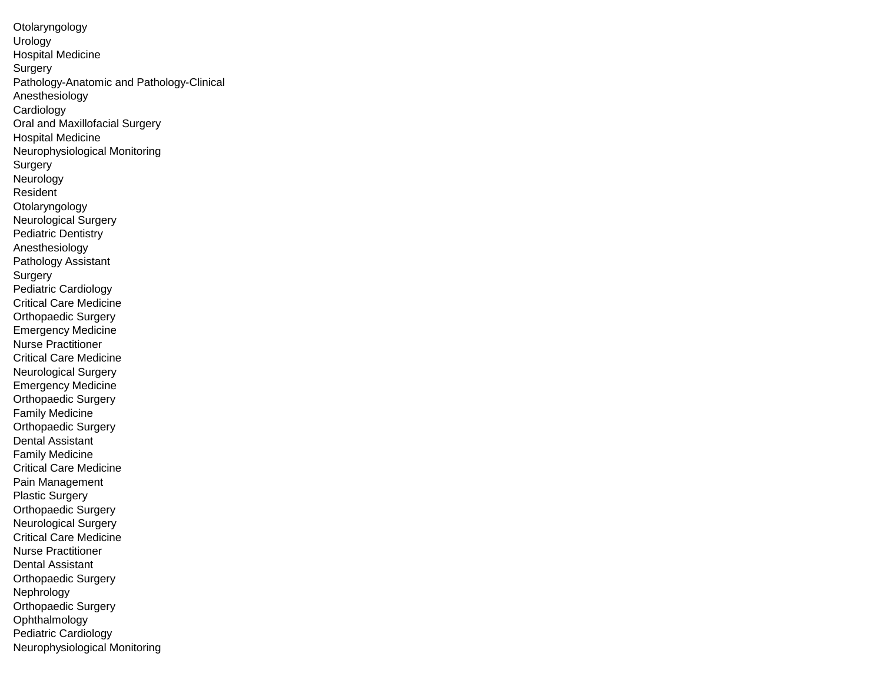Otolaryngology Urology Hospital Medicine Surgery Pathology-Anatomic and Pathology-Clinical Anesthesiology Cardiology Oral and Maxillofacial Surgery Hospital Medicine Neurophysiological Monitoring Surgery **Neurology** Resident **Otolaryngology** Neurological Surgery Pediatric Dentistry Anesthesiology Pathology Assistant Surgery Pediatric Cardiology Critical Care Medicine Orthopaedic Surgery Emergency Medicine Nurse Practitioner Critical Care Medicine Neurological Surgery Emergency Medicine Orthopaedic Surgery Family Medicine Orthopaedic Surgery Dental Assistant Family Medicine Critical Care Medicine Pain Management Plastic Surgery Orthopaedic Surgery Neurological Surgery Critical Care Medicine Nurse Practitioner Dental Assistant Orthopaedic Surgery Nephrology Orthopaedic Surgery Ophthalmology Pediatric Cardiology Neurophysiological Monitoring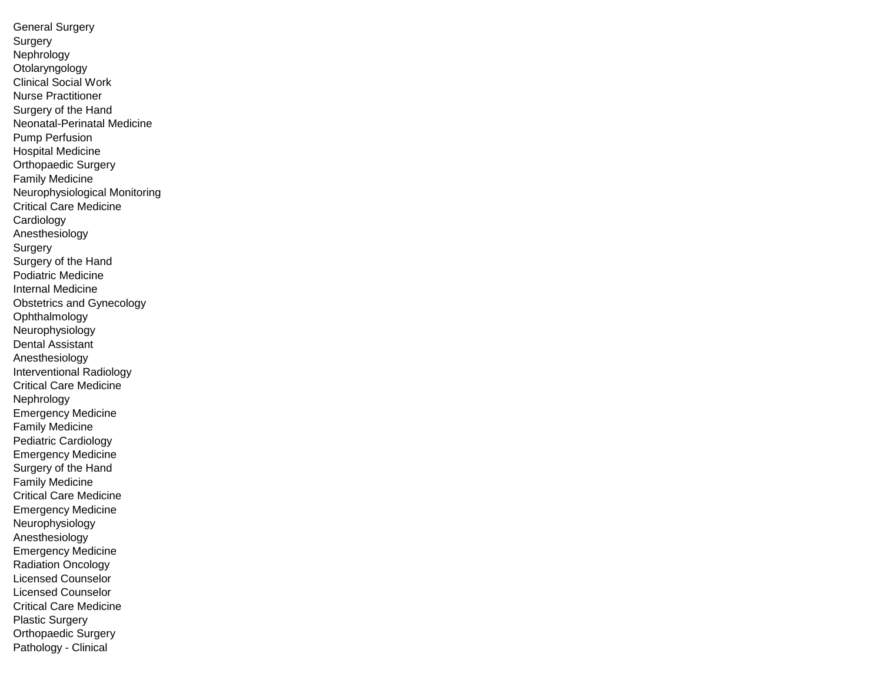General Surgery Surgery Nephrology Otolaryngology Clinical Social Work Nurse Practitioner Surgery of the Hand Neonatal-Perinatal Medicine Pump Perfusion Hospital Medicine Orthopaedic Surgery Family Medicine Neurophysiological Monitoring Critical Care Medicine Cardiology Anesthesiology Surgery Surgery of the Hand Podiatric Medicine Internal Medicine Obstetrics and Gynecology Ophthalmology Neurophysiology Dental Assistant Anesthesiology Interventional Radiology Critical Care Medicine Nephrology Emergency Medicine Family Medicine Pediatric Cardiology Emergency Medicine Surgery of the Hand Family Medicine Critical Care Medicine Emergency Medicine Neurophysiology Anesthesiology Emergency Medicine Radiation Oncology Licensed Counselor Licensed Counselor Critical Care Medicine Plastic Surgery Orthopaedic Surgery Pathology - Clinical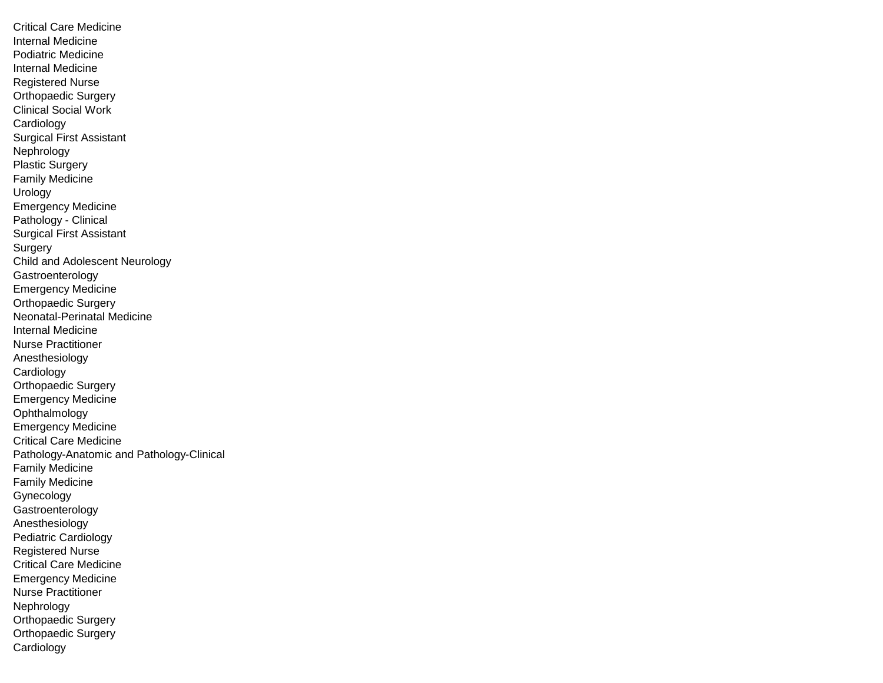Critical Care Medicine Internal Medicine Podiatric Medicine Internal Medicine Registered Nurse Orthopaedic Surgery Clinical Social Work **Cardiology** Surgical First Assistant Nephrology Plastic Surgery Family Medicine Urology Emergency Medicine Pathology - Clinical Surgical First Assistant **Surgery** Child and Adolescent Neurology Gastroenterology Emergency Medicine Orthopaedic Surgery Neonatal-Perinatal Medicine Internal Medicine Nurse Practitioner Anesthesiology Cardiology Orthopaedic Surgery Emergency Medicine Ophthalmology Emergency Medicine Critical Care Medicine Pathology-Anatomic and Pathology-Clinical Family Medicine Family Medicine Gynecology Gastroenterology Anesthesiology Pediatric Cardiology Registered Nurse Critical Care Medicine Emergency Medicine Nurse Practitioner **Nephrology** Orthopaedic Surgery Orthopaedic Surgery Cardiology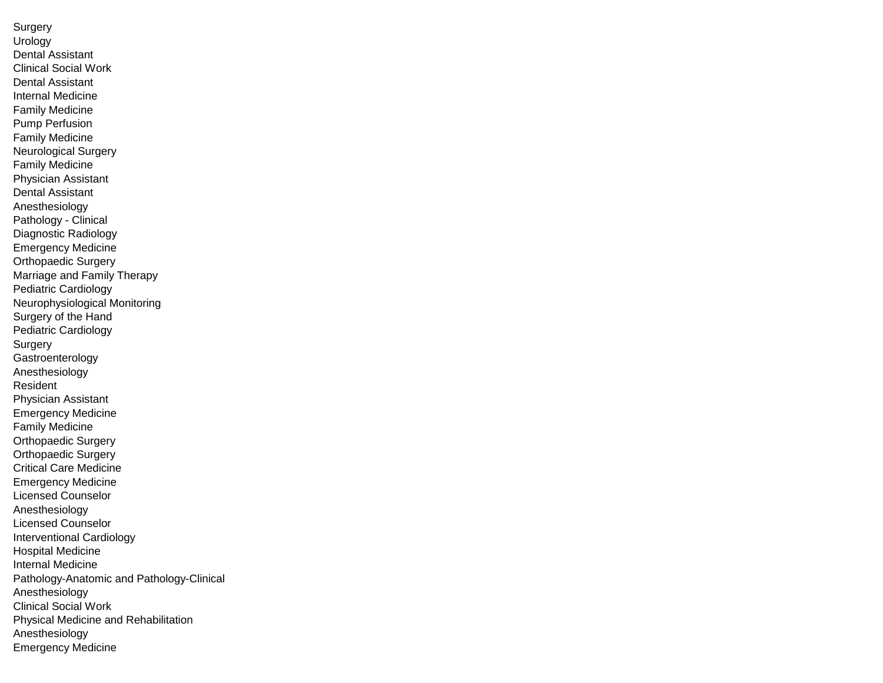**Surgery** Urology Dental Assistant Clinical Social Work Dental Assistant Internal Medicine Family Medicine Pump Perfusion Family Medicine Neurological Surgery Family Medicine Physician Assistant Dental Assistant Anesthesiology Pathology - Clinical Diagnostic Radiology Emergency Medicine Orthopaedic Surgery Marriage and Family Therapy Pediatric Cardiology Neurophysiological Monitoring Surgery of the Hand Pediatric Cardiology Surgery Gastroenterology Anesthesiology Resident Physician Assistant Emergency Medicine Family Medicine Orthopaedic Surgery Orthopaedic Surgery Critical Care Medicine Emergency Medicine Licensed Counselor Anesthesiology Licensed Counselor Interventional Cardiology Hospital Medicine Internal Medicine Pathology-Anatomic and Pathology-Clinical Anesthesiology Clinical Social Work Physical Medicine and Rehabilitation Anesthesiology Emergency Medicine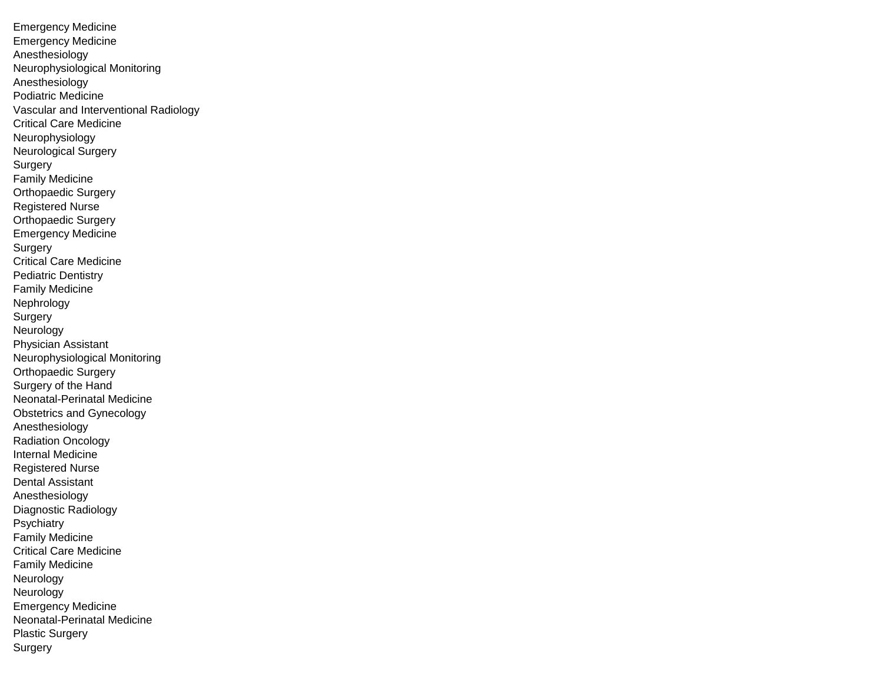Emergency Medicine Emergency Medicine Anesthesiology Neurophysiological Monitoring Anesthesiology Podiatric Medicine Vascular and Interventional Radiology Critical Care Medicine Neurophysiology Neurological Surgery Surgery Family Medicine Orthopaedic Surgery Registered Nurse Orthopaedic Surgery Emergency Medicine **Surgery** Critical Care Medicine Pediatric Dentistry Family Medicine Nephrology **Surgery** Neurology Physician Assistant Neurophysiological Monitoring Orthopaedic Surgery Surgery of the Hand Neonatal-Perinatal Medicine Obstetrics and Gynecology Anesthesiology Radiation Oncology Internal Medicine Registered Nurse Dental Assistant Anesthesiology Diagnostic Radiology Psychiatry Family Medicine Critical Care Medicine Family Medicine Neurology Neurology Emergency Medicine Neonatal-Perinatal Medicine Plastic Surgery Surgery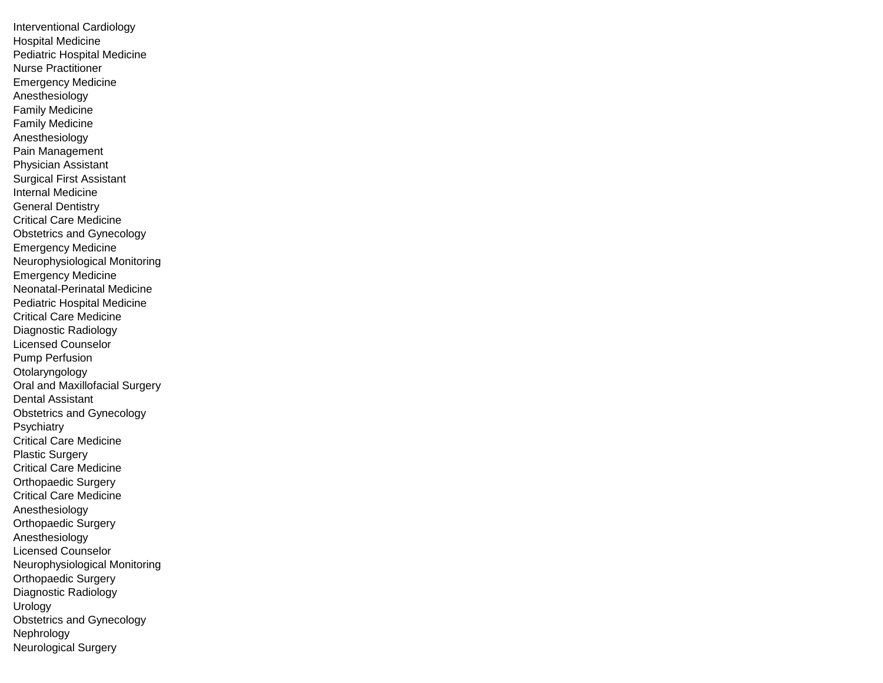Interventional Cardiology Hospital Medicine Pediatric Hospital Medicine Nurse Practitioner Emergency Medicine Anesthesiology Family Medicine Family Medicine Anesthesiology Pain Management Physician Assistant Surgical First Assistant Internal Medicine General Dentistry Critical Care Medicine Obstetrics and Gynecology Emergency Medicine Neurophysiological Monitoring Emergency Medicine Neonatal-Perinatal Medicine Pediatric Hospital Medicine Critical Care Medicine Diagnostic Radiology Licensed Counselor Pump Perfusion Otolaryngology Oral and Maxillofacial Surgery Dental Assistant Obstetrics and Gynecology **Psychiatry** Critical Care Medicine Plastic Surgery Critical Care Medicine Orthopaedic Surgery Critical Care Medicine Anesthesiology Orthopaedic Surgery Anesthesiology Licensed Counselor Neurophysiological Monitoring Orthopaedic Surgery Diagnostic Radiology Urology Obstetrics and Gynecology Nephrology Neurological Surgery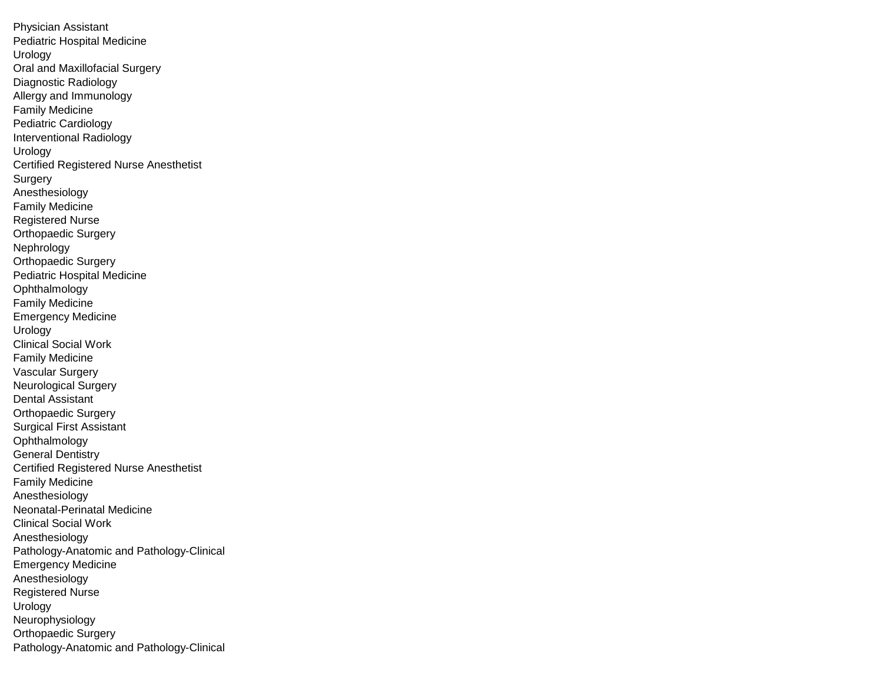Physician Assistant Pediatric Hospital Medicine Urology Oral and Maxillofacial Surgery Diagnostic Radiology Allergy and Immunology Family Medicine Pediatric Cardiology Interventional Radiology Urology Certified Registered Nurse Anesthetist **Surgery** Anesthesiology Family Medicine Registered Nurse Orthopaedic Surgery Nephrology Orthopaedic Surgery Pediatric Hospital Medicine Ophthalmology Family Medicine Emergency Medicine Urology Clinical Social Work Family Medicine Vascular Surgery Neurological Surgery Dental Assistant Orthopaedic Surgery Surgical First Assistant Ophthalmology General Dentistry Certified Registered Nurse Anesthetist Family Medicine Anesthesiology Neonatal-Perinatal Medicine Clinical Social Work Anesthesiology Pathology-Anatomic and Pathology-Clinical Emergency Medicine Anesthesiology Registered Nurse Urology Neurophysiology Orthopaedic Surgery Pathology-Anatomic and Pathology-Clinical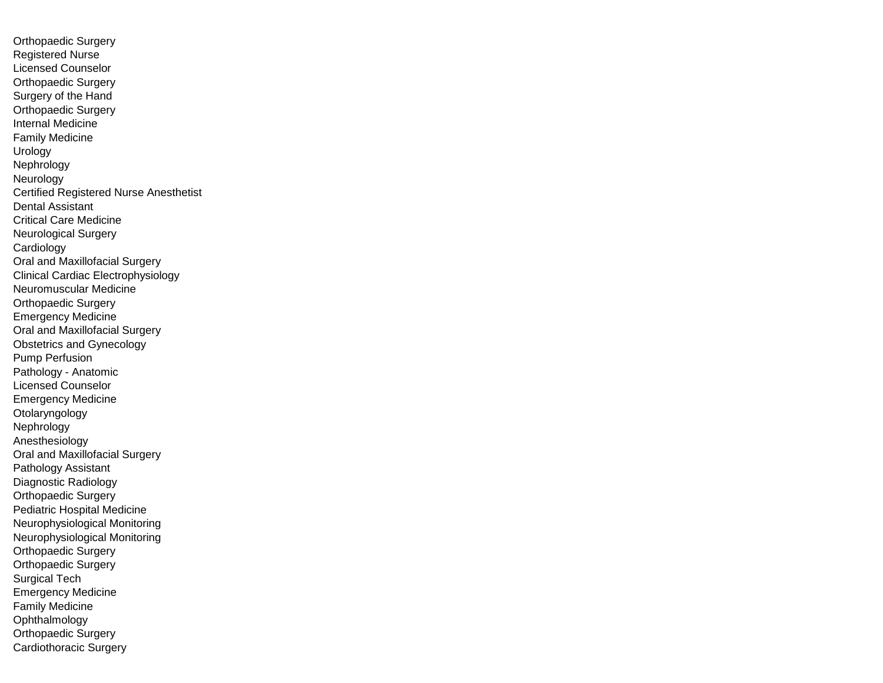Orthopaedic Surgery Registered Nurse Licensed Counselor Orthopaedic Surgery Surgery of the Hand Orthopaedic Surgery Internal Medicine Family Medicine Urology Nephrology Neurology Certified Registered Nurse Anesthetist Dental Assistant Critical Care Medicine Neurological Surgery Cardiology Oral and Maxillofacial Surgery Clinical Cardiac Electrophysiology Neuromuscular Medicine Orthopaedic Surgery Emergency Medicine Oral and Maxillofacial Surgery Obstetrics and Gynecology Pump Perfusion Pathology - Anatomic Licensed Counselor Emergency Medicine Otolaryngology Nephrology Anesthesiology Oral and Maxillofacial Surgery Pathology Assistant Diagnostic Radiology Orthopaedic Surgery Pediatric Hospital Medicine Neurophysiological Monitoring Neurophysiological Monitoring Orthopaedic Surgery Orthopaedic Surgery Surgical Tech Emergency Medicine Family Medicine Ophthalmology Orthopaedic Surgery Cardiothoracic Surgery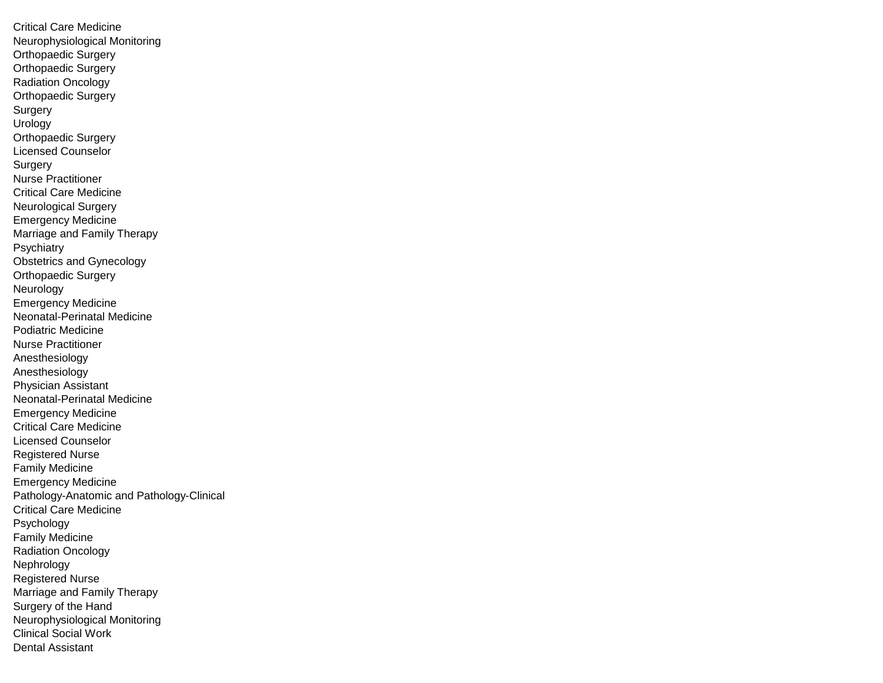Critical Care Medicine Neurophysiological Monitoring Orthopaedic Surgery Orthopaedic Surgery Radiation Oncology Orthopaedic Surgery Surgery Urology Orthopaedic Surgery Licensed Counselor Surgery Nurse Practitioner Critical Care Medicine Neurological Surgery Emergency Medicine Marriage and Family Therapy **Psychiatry** Obstetrics and Gynecology Orthopaedic Surgery Neurology Emergency Medicine Neonatal-Perinatal Medicine Podiatric Medicine Nurse Practitioner Anesthesiology Anesthesiology Physician Assistant Neonatal-Perinatal Medicine Emergency Medicine Critical Care Medicine Licensed Counselor Registered Nurse Family Medicine Emergency Medicine Pathology-Anatomic and Pathology-Clinical Critical Care Medicine Psychology Family Medicine Radiation Oncology Nephrology Registered Nurse Marriage and Family Therapy Surgery of the Hand Neurophysiological Monitoring Clinical Social Work Dental Assistant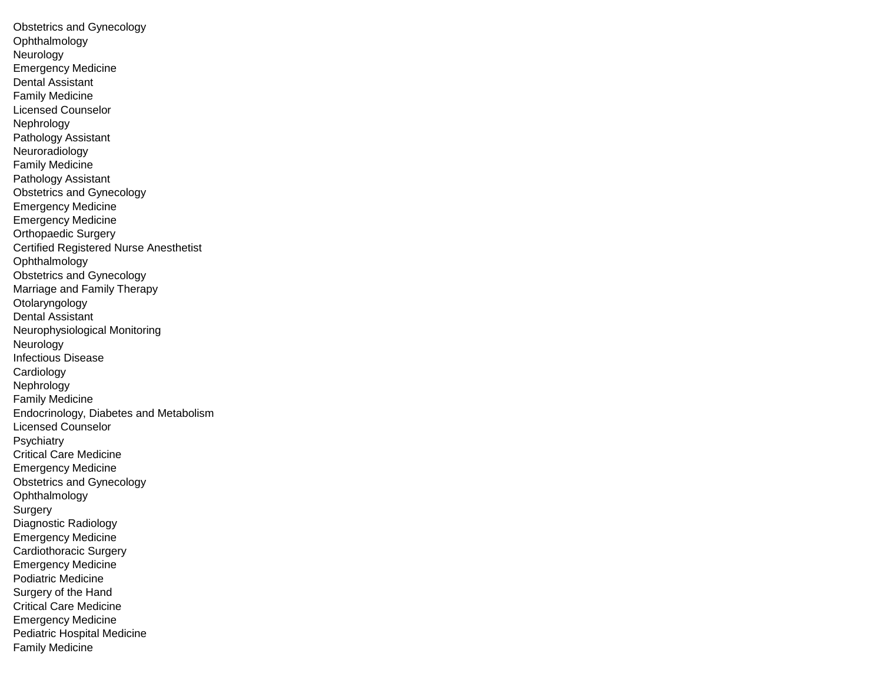Obstetrics and Gynecology Ophthalmology Neurology Emergency Medicine Dental Assistant Family Medicine Licensed Counselor Nephrology Pathology Assistant Neuroradiology Family Medicine Pathology Assistant Obstetrics and Gynecology Emergency Medicine Emergency Medicine Orthopaedic Surgery Certified Registered Nurse Anesthetist **Ophthalmology** Obstetrics and Gynecology Marriage and Family Therapy Otolaryngology Dental Assistant Neurophysiological Monitoring Neurology Infectious Disease **Cardiology** Nephrology Family Medicine Endocrinology, Diabetes and Metabolism Licensed Counselor **Psychiatry** Critical Care Medicine Emergency Medicine Obstetrics and Gynecology Ophthalmology Surgery Diagnostic Radiology Emergency Medicine Cardiothoracic Surgery Emergency Medicine Podiatric Medicine Surgery of the Hand Critical Care Medicine Emergency Medicine Pediatric Hospital Medicine Family Medicine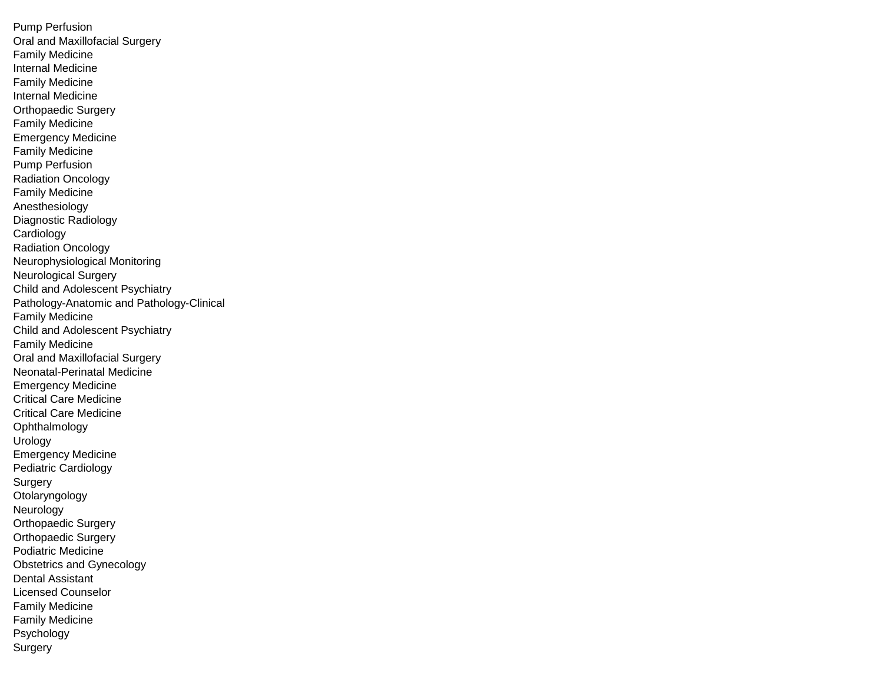Pump Perfusion Oral and Maxillofacial Surgery Family Medicine Internal Medicine Family Medicine Internal Medicine Orthopaedic Surgery Family Medicine Emergency Medicine Family Medicine Pump Perfusion Radiation Oncology Family Medicine Anesthesiology Diagnostic Radiology **Cardiology** Radiation Oncology Neurophysiological Monitoring Neurological Surgery Child and Adolescent Psychiatry Pathology-Anatomic and Pathology-Clinical Family Medicine Child and Adolescent Psychiatry Family Medicine Oral and Maxillofacial Surgery Neonatal-Perinatal Medicine Emergency Medicine Critical Care Medicine Critical Care Medicine Ophthalmology Urology Emergency Medicine Pediatric Cardiology Surgery Otolaryngology Neurology Orthopaedic Surgery Orthopaedic Surgery Podiatric Medicine Obstetrics and Gynecology Dental Assistant Licensed Counselor Family Medicine Family Medicine Psychology Surgery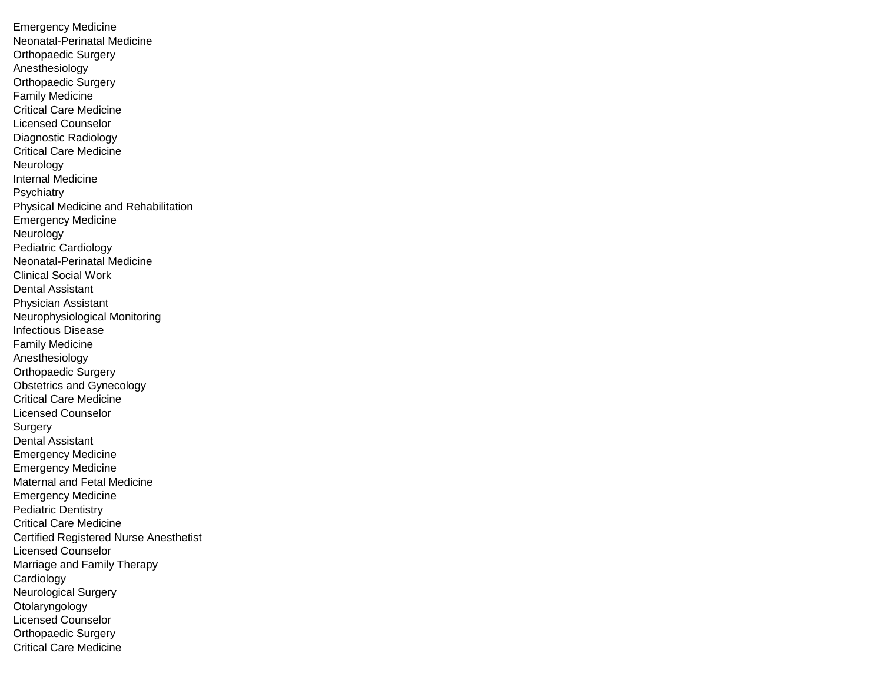Emergency Medicine Neonatal-Perinatal Medicine Orthopaedic Surgery Anesthesiology Orthopaedic Surgery Family Medicine Critical Care Medicine Licensed Counselor Diagnostic Radiology Critical Care Medicine Neurology Internal Medicine **Psychiatry** Physical Medicine and Rehabilitation Emergency Medicine Neurology Pediatric Cardiology Neonatal-Perinatal Medicine Clinical Social Work Dental Assistant Physician Assistant Neurophysiological Monitoring Infectious Disease Family Medicine Anesthesiology Orthopaedic Surgery Obstetrics and Gynecology Critical Care Medicine Licensed Counselor **Surgery** Dental Assistant Emergency Medicine Emergency Medicine Maternal and Fetal Medicine Emergency Medicine Pediatric Dentistry Critical Care Medicine Certified Registered Nurse Anesthetist Licensed Counselor Marriage and Family Therapy Cardiology Neurological Surgery Otolaryngology Licensed Counselor Orthopaedic Surgery Critical Care Medicine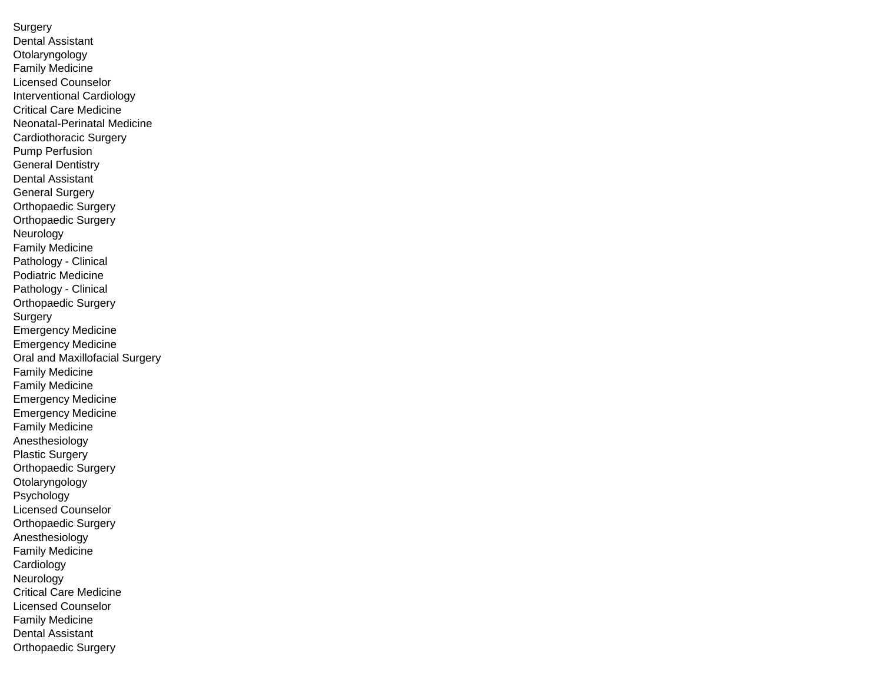**Surgery** Dental Assistant Otolaryngology Family Medicine Licensed Counselor Interventional Cardiology Critical Care Medicine Neonatal-Perinatal Medicine Cardiothoracic Surgery Pump Perfusion General Dentistry Dental Assistant General Surgery Orthopaedic Surgery Orthopaedic Surgery Neurology Family Medicine Pathology - Clinical Podiatric Medicine Pathology - Clinical Orthopaedic Surgery **Surgery** Emergency Medicine Emergency Medicine Oral and Maxillofacial Surgery Family Medicine Family Medicine Emergency Medicine Emergency Medicine Family Medicine Anesthesiology Plastic Surgery Orthopaedic Surgery **Otolaryngology** Psychology Licensed Counselor Orthopaedic Surgery Anesthesiology Family Medicine **Cardiology** Neurology Critical Care Medicine Licensed Counselor Family Medicine Dental Assistant Orthopaedic Surgery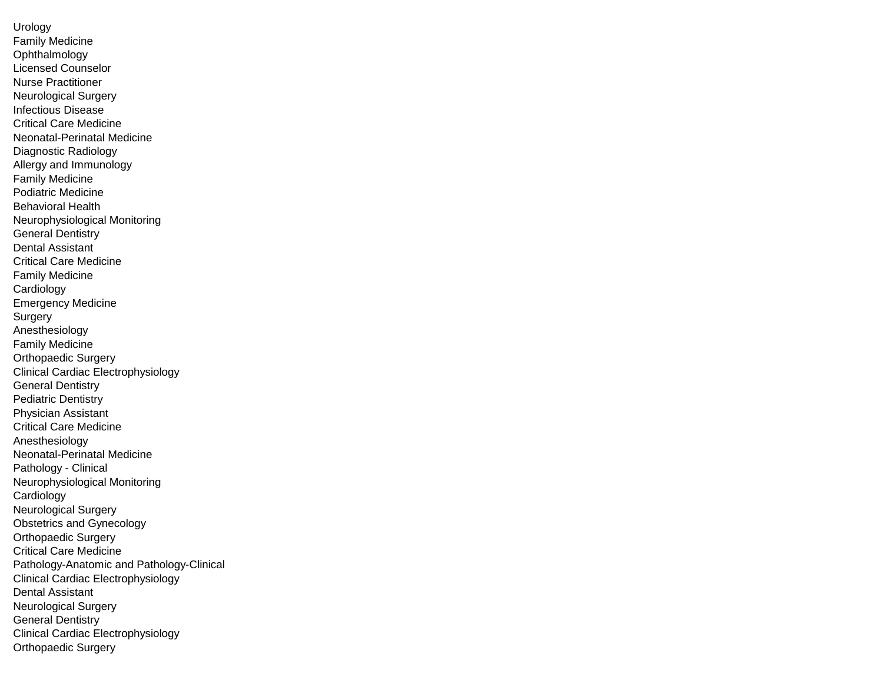Urology Family Medicine Ophthalmology Licensed Counselor Nurse Practitioner Neurological Surgery Infectious Disease Critical Care Medicine Neonatal-Perinatal Medicine Diagnostic Radiology Allergy and Immunology Family Medicine Podiatric Medicine Behavioral Health Neurophysiological Monitoring General Dentistry Dental Assistant Critical Care Medicine Family Medicine Cardiology Emergency Medicine **Surgery** Anesthesiology Family Medicine Orthopaedic Surgery Clinical Cardiac Electrophysiology General Dentistry Pediatric Dentistry Physician Assistant Critical Care Medicine Anesthesiology Neonatal-Perinatal Medicine Pathology - Clinical Neurophysiological Monitoring Cardiology Neurological Surgery Obstetrics and Gynecology Orthopaedic Surgery Critical Care Medicine Pathology-Anatomic and Pathology-Clinical Clinical Cardiac Electrophysiology Dental Assistant Neurological Surgery General Dentistry Clinical Cardiac Electrophysiology Orthopaedic Surgery